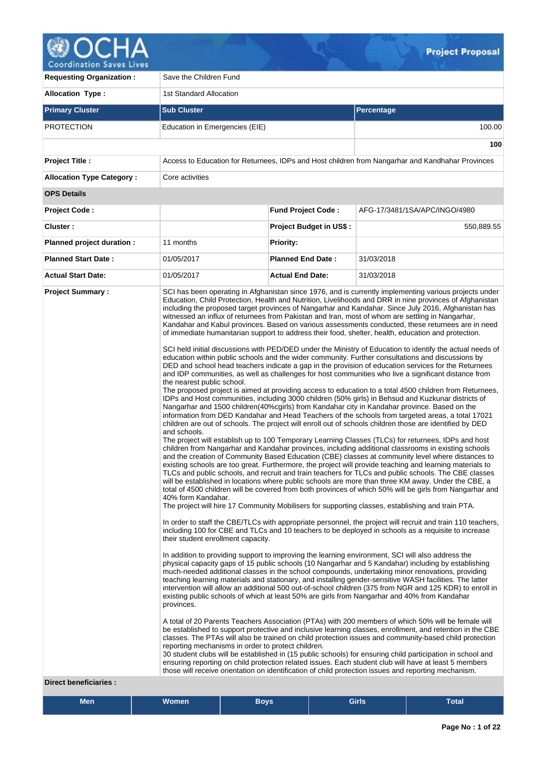

**Requesting Organization : Save the Children Fund Allocation Type :** 1st Standard Allocation **Primary Cluster Sub Cluster Sub Cluster** Sub Cluster Sub Cluster Sub Cluster Sub Cluster Sub Cluster Sub Cluster PROTECTION Education in Emergencies (EIE) 100.00 **100 Project Title :** Access to Education for Returnees, IDPs and Host children from Nangarhar and Kandhahar Provinces **Allocation Type Category : Core activities OPS Details Project Code : Fund Project Code :** AFG-17/3481/1SA/APC/INGO/4980 **Cluster : Project Budget in US\$ :** 550,889.55 **Planned project duration :** 11 months **Planned Priority: Planned Start Date :** 01/05/2017 **Planned End Date :** 31/03/2018 **Actual Start Date:** 01/05/2017 **Actual End Date:** 31/03/2018 **Project Summary :** SCI has been operating in Afghanistan since 1976, and is currently implementing various projects under Education, Child Protection, Health and Nutrition, Livelihoods and DRR in nine provinces of Afghanistan including the proposed target provinces of Nangarhar and Kandahar. Since July 2016, Afghanistan has witnessed an influx of returnees from Pakistan and Iran, most of whom are settling in Nangarhar, Kandahar and Kabul provinces. Based on various assessments conducted, these returnees are in need of immediate humanitarian support to address their food, shelter, health, education and protection. SCI held initial discussions with PED/DED under the Ministry of Education to identify the actual needs of education within public schools and the wider community. Further consultations and discussions by DED and school head teachers indicate a gap in the provision of education services for the Returnees and IDP communities, as well as challenges for host communities who live a significant distance from the nearest public school. The proposed project is aimed at providing access to education to a total 4500 children from Returnees, IDPs and Host communities, including 3000 children (50% girls) in Behsud and Kuzkunar districts of Nangarhar and 1500 children(40%cgirls) from Kandahar city in Kandahar province. Based on the information from DED Kandahar and Head Teachers of the schools from targeted areas, a total 17021 children are out of schools. The project will enroll out of schools children those are identified by DED and schools. The project will establish up to 100 Temporary Learning Classes (TLCs) for returnees, IDPs and host children from Nangarhar and Kandahar provinces, including additional classrooms in existing schools and the creation of Community Based Education (CBE) classes at community level where distances to existing schools are too great. Furthermore, the project will provide teaching and learning materials to TLCs and public schools, and recruit and train teachers for TLCs and public schools. The CBE classes will be established in locations where public schools are more than three KM away. Under the CBE, a total of 4500 children will be covered from both provinces of which 50% will be girls from Nangarhar and 40% form Kandahar. The project will hire 17 Community Mobilisers for supporting classes, establishing and train PTA. In order to staff the CBE/TLCs with appropriate personnel, the project will recruit and train 110 teachers, including 100 for CBE and TLCs and 10 teachers to be deployed in schools as a requisite to increase their student enrollment capacity. In addition to providing support to improving the learning environment, SCI will also address the physical capacity gaps of 15 public schools (10 Nangarhar and 5 Kandahar) including by establishing much-needed additional classes in the school compounds, undertaking minor renovations, providing teaching learning materials and stationary, and installing gender-sensitive WASH facilities. The latter intervention will allow an additional 500 out-of-school children (375 from NGR and 125 KDR) to enroll in existing public schools of which at least 50% are girls from Nangarhar and 40% from Kandahar provinces. A total of 20 Parents Teachers Association (PTAs) with 200 members of which 50% will be female will be established to support protective and inclusive learning classes, enrollment, and retention in the CBE classes. The PTAs will also be trained on child protection issues and community-based child protection reporting mechanisms in order to protect children. 30 student clubs will be established in (15 public schools) for ensuring child participation in school and ensuring reporting on child protection related issues. Each student club will have at least 5 members those will receive orientation on identification of child protection issues and reporting mechanism.

#### **Direct beneficiaries :**

| Men | <b>Women</b> | <b>Bovs</b> | <b>Girls</b> | -<br>[otalˈ |
|-----|--------------|-------------|--------------|-------------|
|     |              |             |              |             |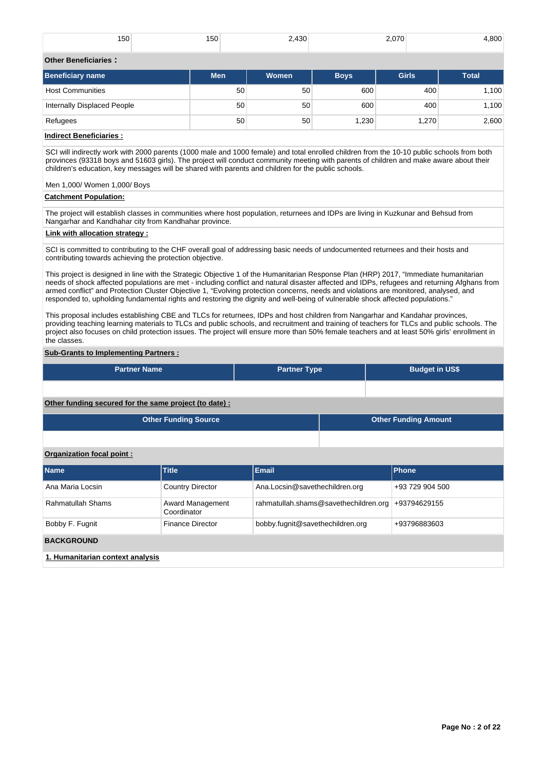| $1 - 0$<br>150 | 150 | 2.430 | חדה ה<br>---- | ,800 |
|----------------|-----|-------|---------------|------|
|                |     |       |               |      |

# **Other Beneficiaries :**

| <b>Beneficiary name</b>     | <b>Men</b> | <b>Women</b> | <b>Boys</b> | Girls | <b>Total</b> |
|-----------------------------|------------|--------------|-------------|-------|--------------|
| <b>Host Communities</b>     | 50         | 50           | 600         | 400   | 1,100        |
| Internally Displaced People | 50         | 50           | 600         | 400   | 1,100        |
| Refugees                    | 50         | 50           | 1,230       | 1,270 | 2,600        |
| .<br>.                      |            |              |             |       |              |

# **Indirect Beneficiaries :**

SCI will indirectly work with 2000 parents (1000 male and 1000 female) and total enrolled children from the 10-10 public schools from both provinces (93318 boys and 51603 girls). The project will conduct community meeting with parents of children and make aware about their children's education, key messages will be shared with parents and children for the public schools.

Men 1,000/ Women 1,000/ Boys

### **Catchment Population:**

The project will establish classes in communities where host population, returnees and IDPs are living in Kuzkunar and Behsud from Nangarhar and Kandhahar city from Kandhahar province.

### **Link with allocation strategy :**

SCI is committed to contributing to the CHF overall goal of addressing basic needs of undocumented returnees and their hosts and contributing towards achieving the protection objective.

This project is designed in line with the Strategic Objective 1 of the Humanitarian Response Plan (HRP) 2017, "Immediate humanitarian needs of shock affected populations are met - including conflict and natural disaster affected and IDPs, refugees and returning Afghans from armed conflict" and Protection Cluster Objective 1, "Evolving protection concerns, needs and violations are monitored, analysed, and responded to, upholding fundamental rights and restoring the dignity and well-being of vulnerable shock affected populations."

This proposal includes establishing CBE and TLCs for returnees, IDPs and host children from Nangarhar and Kandahar provinces, providing teaching learning materials to TLCs and public schools, and recruitment and training of teachers for TLCs and public schools. The project also focuses on child protection issues. The project will ensure more than 50% female teachers and at least 50% girls' enrollment in the classes.

# **Sub-Grants to Implementing Partners :**

| <b>Partner Name</b> | <b>Partner Type</b> | <b>Budget in US\$</b> |
|---------------------|---------------------|-----------------------|
|                     |                     |                       |

**Other funding secured for the same project (to date) :**

| <b>Other Funding Source</b> | <b>Other Funding Amount</b> |
|-----------------------------|-----------------------------|
|                             |                             |

### **Organization focal point :**

| <b>Name</b>                      | <b>Title</b>                    | Email                                 | Phone           |
|----------------------------------|---------------------------------|---------------------------------------|-----------------|
| Ana Maria Locsin                 | <b>Country Director</b>         | Ana.Locsin@savethechildren.org        | +93 729 904 500 |
| Rahmatullah Shams                | Award Management<br>Coordinator | rahmatullah.shams@savethechildren.org | +93794629155    |
| Bobby F. Fugnit                  | <b>Finance Director</b>         | bobby.fugnit@savethechildren.org      | +93796883603    |
| <b>BACKGROUND</b>                |                                 |                                       |                 |
| 1. Humanitarian context analysis |                                 |                                       |                 |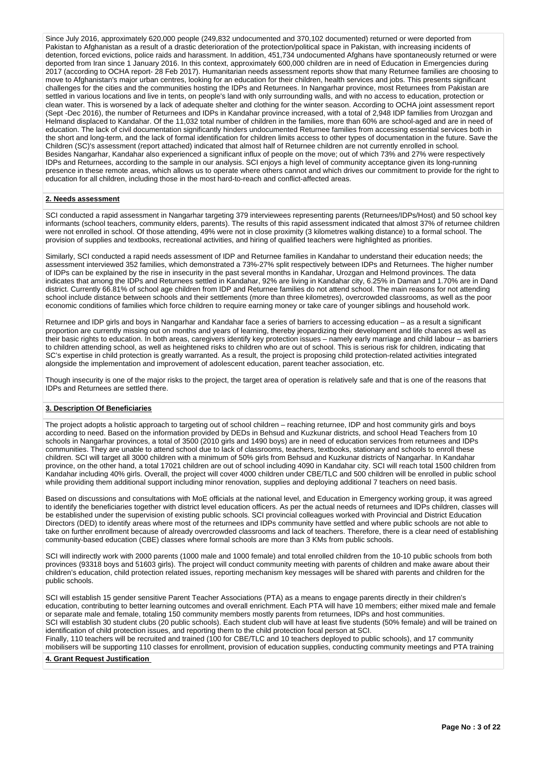Since July 2016, approximately 620,000 people (249,832 undocumented and 370,102 documented) returned or were deported from Pakistan to Afghanistan as a result of a drastic deterioration of the protection/political space in Pakistan, with increasing incidents of detention, forced evictions, police raids and harassment. In addition, 451,734 undocumented Afghans have spontaneously returned or were deported from Iran since 1 January 2016. In this context, approximately 600,000 children are in need of Education in Emergencies during 2017 (according to OCHA report- 28 Feb 2017). Humanitarian needs assessment reports show that many Returnee families are choosing to move to Afghanistan's major urban centres, looking for an education for their children, health services and jobs. This presents significant challenges for the cities and the communities hosting the IDPs and Returnees. In Nangarhar province, most Returnees from Pakistan are settled in various locations and live in tents, on people's land with only surrounding walls, and with no access to education, protection or clean water. This is worsened by a lack of adequate shelter and clothing for the winter season. According to OCHA joint assessment report (Sept -Dec 2016), the number of Returnees and IDPs in Kandahar province increased, with a total of 2,948 IDP families from Urozgan and Helmand displaced to Kandahar. Of the 11,032 total number of children in the families, more than 60% are school-aged and are in need of education. The lack of civil documentation significantly hinders undocumented Returnee families from accessing essential services both in the short and long-term, and the lack of formal identification for children limits access to other types of documentation in the future. Save the Children (SC)'s assessment (report attached) indicated that almost half of Returnee children are not currently enrolled in school. Besides Nangarhar, Kandahar also experienced a significant influx of people on the move; out of which 73% and 27% were respectively IDPs and Returnees, according to the sample in our analysis. SCI enjoys a high level of community acceptance given its long-running presence in these remote areas, which allows us to operate where others cannot and which drives our commitment to provide for the right to education for all children, including those in the most hard-to-reach and conflict-affected areas.

### **2. Needs assessment**

SCI conducted a rapid assessment in Nangarhar targeting 379 interviewees representing parents (Returnees/IDPs/Host) and 50 school key informants (school teachers, community elders, parents). The results of this rapid assessment indicated that almost 37% of returnee children were not enrolled in school. Of those attending, 49% were not in close proximity (3 kilometres walking distance) to a formal school. The provision of supplies and textbooks, recreational activities, and hiring of qualified teachers were highlighted as priorities.

Similarly, SCI conducted a rapid needs assessment of IDP and Returnee families in Kandahar to understand their education needs; the assessment interviewed 352 families, which demonstrated a 73%-27% split respectively between IDPs and Returnees. The higher number of IDPs can be explained by the rise in insecurity in the past several months in Kandahar, Urozgan and Helmond provinces. The data indicates that among the IDPs and Returnees settled in Kandahar, 92% are living in Kandahar city, 6.25% in Daman and 1.70% are in Dand district. Currently 66.81% of school age children from IDP and Returnee families do not attend school. The main reasons for not attending school include distance between schools and their settlements (more than three kilometres), overcrowded classrooms, as well as the poor economic conditions of families which force children to require earning money or take care of younger siblings and household work.

Returnee and IDP girls and boys in Nangarhar and Kandahar face a series of barriers to accessing education – as a result a significant proportion are currently missing out on months and years of learning, thereby jeopardizing their development and life chances as well as their basic rights to education. In both areas, caregivers identify key protection issues – namely early marriage and child labour – as barriers to children attending school, as well as heightened risks to children who are out of school. This is serious risk for children, indicating that SC's expertise in child protection is greatly warranted. As a result, the project is proposing child protection-related activities integrated alongside the implementation and improvement of adolescent education, parent teacher association, etc.

Though insecurity is one of the major risks to the project, the target area of operation is relatively safe and that is one of the reasons that IDPs and Returnees are settled there.

# **3. Description Of Beneficiaries**

The project adopts a holistic approach to targeting out of school children – reaching returnee, IDP and host community girls and boys according to need. Based on the information provided by DEDs in Behsud and Kuzkunar districts, and school Head Teachers from 10 schools in Nangarhar provinces, a total of 3500 (2010 girls and 1490 boys) are in need of education services from returnees and IDPs communities. They are unable to attend school due to lack of classrooms, teachers, textbooks, stationary and schools to enroll these children. SCI will target all 3000 children with a minimum of 50% girls from Behsud and Kuzkunar districts of Nangarhar. In Kandahar province, on the other hand, a total 17021 children are out of school including 4090 in Kandahar city. SCI will reach total 1500 children from Kandahar including 40% girls. Overall, the project will cover 4000 children under CBE/TLC and 500 children will be enrolled in public school while providing them additional support including minor renovation, supplies and deploying additional 7 teachers on need basis.

Based on discussions and consultations with MoE officials at the national level, and Education in Emergency working group, it was agreed to identify the beneficiaries together with district level education officers. As per the actual needs of returnees and IDPs children, classes will be established under the supervision of existing public schools. SCI provincial colleagues worked with Provincial and District Education Directors (DED) to identify areas where most of the returnees and IDPs community have settled and where public schools are not able to take on further enrollment because of already overcrowded classrooms and lack of teachers. Therefore, there is a clear need of establishing community-based education (CBE) classes where formal schools are more than 3 KMs from public schools.

SCI will indirectly work with 2000 parents (1000 male and 1000 female) and total enrolled children from the 10-10 public schools from both provinces (93318 boys and 51603 girls). The project will conduct community meeting with parents of children and make aware about their children's education, child protection related issues, reporting mechanism key messages will be shared with parents and children for the public schools.

SCI will establish 15 gender sensitive Parent Teacher Associations (PTA) as a means to engage parents directly in their children's education, contributing to better learning outcomes and overall enrichment. Each PTA will have 10 members; either mixed male and female or separate male and female, totaling 150 community members mostly parents from returnees, IDPs and host communities. SCI will establish 30 student clubs (20 public schools). Each student club will have at least five students (50% female) and will be trained on identification of child protection issues, and reporting them to the child protection focal person at SCI. Finally, 110 teachers will be recruited and trained (100 for CBE/TLC and 10 teachers deployed to public schools), and 17 community mobilisers will be supporting 110 classes for enrollment, provision of education supplies, conducting community meetings and PTA training

### **4. Grant Request Justification**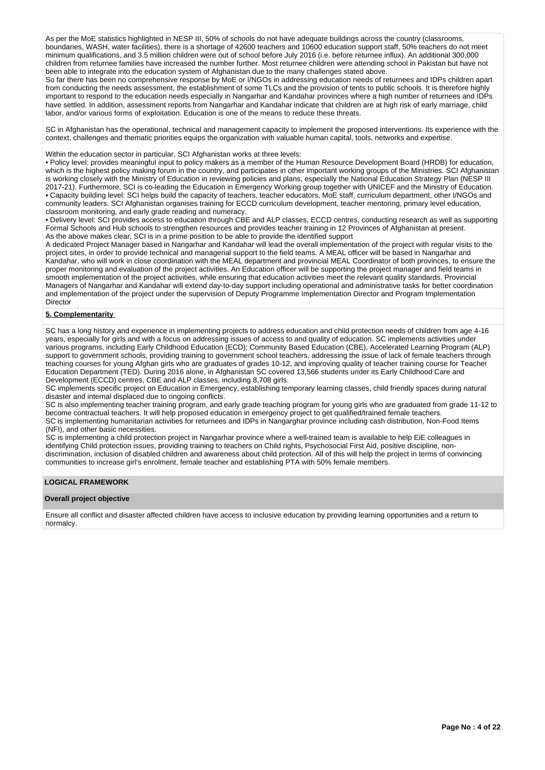As per the MoE statistics highlighted in NESP III, 50% of schools do not have adequate buildings across the country (classrooms, boundaries, WASH, water facilities), there is a shortage of 42600 teachers and 10600 education support staff, 50% teachers do not meet minimum qualifications, and 3.5 million children were out of school before July 2016 (i.e. before returnee influx). An additional 300,000 children from returnee families have increased the number further. Most returnee children were attending school in Pakistan but have not been able to integrate into the education system of Afghanistan due to the many challenges stated above.

So far there has been no comprehensive response by MoE or I/NGOs in addressing education needs of returnees and IDPs children apart from conducting the needs assessment, the establishment of some TLCs and the provision of tents to public schools. It is therefore highly important to respond to the education needs especially in Nangarhar and Kandahar provinces where a high number of returnees and IDPs have settled. In addition, assessment reports from Nangarhar and Kandahar indicate that children are at high risk of early marriage, child labor, and/or various forms of exploitation. Education is one of the means to reduce these threats.

SC in Afghanistan has the operational, technical and management capacity to implement the proposed interventions. Its experience with the context, challenges and thematic priorities equips the organization with valuable human capital, tools, networks and expertise.

Within the education sector in particular, SCI Afghanistan works at three levels:

• Policy level: provides meaningful input to policy makers as a member of the Human Resource Development Board (HRDB) for education, which is the highest policy making forum in the country, and participates in other important working groups of the Ministries. SCI Afghanistan is working closely with the Ministry of Education in reviewing policies and plans, especially the National Education Strategy Plan (NESP III 2017-21). Furthermore, SCI is co-leading the Education in Emergency Working group together with UNICEF and the Ministry of Education. • Capacity building level: SCI helps build the capacity of teachers, teacher educators, MoE staff, curriculum department, other I/NGOs and community leaders. SCI Afghanistan organises training for ECCD curriculum development, teacher mentoring, primary level education, classroom monitoring, and early grade reading and numeracy.

• Delivery level: SCI provides access to education through CBE and ALP classes, ECCD centres, conducting research as well as supporting Formal Schools and Hub schools to strengthen resources and provides teacher training in 12 Provinces of Afghanistan at present. As the above makes clear, SCI is in a prime position to be able to provide the identified support

A dedicated Project Manager based in Nangarhar and Kandahar will lead the overall implementation of the project with regular visits to the project sites, in order to provide technical and managerial support to the field teams. A MEAL officer will be based in Nangarhar and Kandahar, who will work in close coordination with the MEAL department and provincial MEAL Coordinator of both provinces, to ensure the proper monitoring and evaluation of the project activities. An Education officer will be supporting the project manager and field teams in smooth implementation of the project activities, while ensuring that education activities meet the relevant quality standards. Provincial Managers of Nangarhar and Kandahar will extend day-to-day support including operational and administrative tasks for better coordination and implementation of the project under the supervision of Deputy Programme Implementation Director and Program Implementation Director

# **5. Complementarity**

SC has a long history and experience in implementing projects to address education and child protection needs of children from age 4-16 years, especially for girls and with a focus on addressing issues of access to and quality of education. SC implements activities under various programs, including Early Childhood Education (ECD); Community Based Education (CBE), Accelerated Learning Program (ALP) support to government schools, providing training to government school teachers, addressing the issue of lack of female teachers through teaching courses for young Afghan girls who are graduates of grades 10-12, and improving quality of teacher training course for Teacher Education Department (TED). During 2016 alone, in Afghanistan SC covered 13,566 students under its Early Childhood Care and Development (ECCD) centres, CBE and ALP classes, including 8,708 girls.

SC implements specific project on Education in Emergency, establishing temporary learning classes, child friendly spaces during natural disaster and internal displaced due to ongoing conflicts.

SC is also implementing teacher training program, and early grade teaching program for young girls who are graduated from grade 11-12 to become contractual teachers. It will help proposed education in emergency project to get qualified/trained female teachers. SC is implementing humanitarian activities for returnees and IDPs in Nangarghar province including cash distribution, Non-Food Items

(NFI), and other basic necessities.

SC is implementing a child protection project in Nangarhar province where a well-trained team is available to help EiE colleagues in identifying Child protection issues, providing training to teachers on Child rights, Psychosocial First Aid, positive discipline, nondiscrimination, inclusion of disabled children and awareness about child protection. All of this will help the project in terms of convincing communities to increase girl's enrolment, female teacher and establishing PTA with 50% female members.

### **LOGICAL FRAMEWORK**

### **Overall project objective**

Ensure all conflict and disaster affected children have access to inclusive education by providing learning opportunities and a return to normalcy.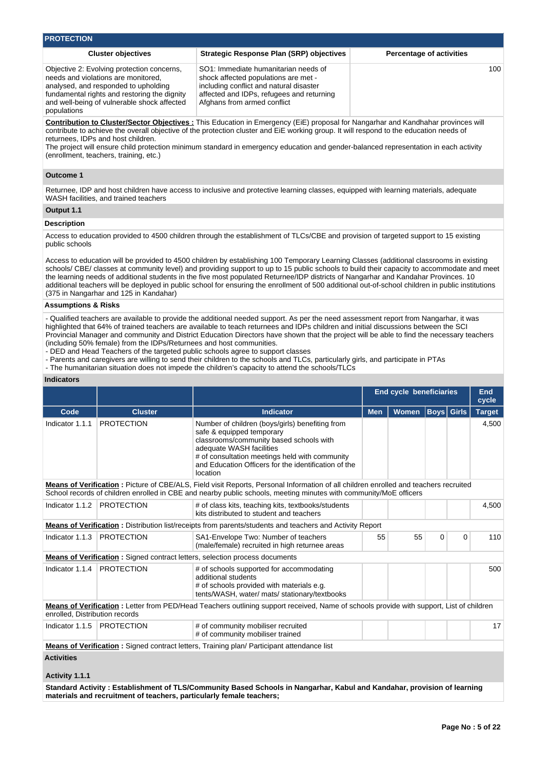| <b>PROTECTION</b>                                                                                                                                                                                                                       |                                                                                                                                                                                                                                                                                                                                                                                                                                                                                                                                                                                   |                                 |
|-----------------------------------------------------------------------------------------------------------------------------------------------------------------------------------------------------------------------------------------|-----------------------------------------------------------------------------------------------------------------------------------------------------------------------------------------------------------------------------------------------------------------------------------------------------------------------------------------------------------------------------------------------------------------------------------------------------------------------------------------------------------------------------------------------------------------------------------|---------------------------------|
| <b>Cluster objectives</b>                                                                                                                                                                                                               | <b>Strategic Response Plan (SRP) objectives</b>                                                                                                                                                                                                                                                                                                                                                                                                                                                                                                                                   | <b>Percentage of activities</b> |
| Objective 2: Evolving protection concerns,<br>needs and violations are monitored.<br>analysed, and responded to upholding<br>fundamental rights and restoring the dignity<br>and well-being of vulnerable shock affected<br>populations | SO1: Immediate humanitarian needs of<br>shock affected populations are met -<br>including conflict and natural disaster<br>affected and IDPs, refugees and returning<br>Afghans from armed conflict                                                                                                                                                                                                                                                                                                                                                                               | 100                             |
| returnees. IDPs and host children.<br>(enrollment, teachers, training, etc.)                                                                                                                                                            | Contribution to Cluster/Sector Objectives: This Education in Emergency (EiE) proposal for Nangarhar and Kandhahar provinces will<br>contribute to achieve the overall objective of the protection cluster and EiE working group. It will respond to the education needs of<br>The project will ensure child protection minimum standard in emergency education and gender-balanced representation in each activity                                                                                                                                                                |                                 |
| <b>Outcome 1</b>                                                                                                                                                                                                                        |                                                                                                                                                                                                                                                                                                                                                                                                                                                                                                                                                                                   |                                 |
| WASH facilities, and trained teachers                                                                                                                                                                                                   | Returnee, IDP and host children have access to inclusive and protective learning classes, equipped with learning materials, adequate                                                                                                                                                                                                                                                                                                                                                                                                                                              |                                 |
| Output 1.1                                                                                                                                                                                                                              |                                                                                                                                                                                                                                                                                                                                                                                                                                                                                                                                                                                   |                                 |
| <b>Description</b>                                                                                                                                                                                                                      |                                                                                                                                                                                                                                                                                                                                                                                                                                                                                                                                                                                   |                                 |
| public schools                                                                                                                                                                                                                          | Access to education provided to 4500 children through the establishment of TLCs/CBE and provision of targeted support to 15 existing                                                                                                                                                                                                                                                                                                                                                                                                                                              |                                 |
| (375 in Nangarhar and 125 in Kandahar)                                                                                                                                                                                                  | Access to education will be provided to 4500 children by establishing 100 Temporary Learning Classes (additional classrooms in existing<br>schools/ CBE/ classes at community level) and providing support to up to 15 public schools to build their capacity to accommodate and meet<br>the learning needs of additional students in the five most populated Returnee/IDP districts of Nangarhar and Kandahar Provinces. 10<br>additional teachers will be deployed in public school for ensuring the enrollment of 500 additional out-of-school children in public institutions |                                 |

### **Assumptions & Risks**

- Qualified teachers are available to provide the additional needed support. As per the need assessment report from Nangarhar, it was highlighted that 64% of trained teachers are available to teach returnees and IDPs children and initial discussions between the SCI Provincial Manager and community and District Education Directors have shown that the project will be able to find the necessary teachers (including 50% female) from the IDPs/Returnees and host communities.

- DED and Head Teachers of the targeted public schools agree to support classes

- Parents and caregivers are willing to send their children to the schools and TLCs, particularly girls, and participate in PTAs

- The humanitarian situation does not impede the children's capacity to attend the schools/TLCs

| <b>Indicators</b> |  |
|-------------------|--|
|                   |  |
|                   |  |

|                                     |                   |                                                                                                                                                                                                                                                                           |                     | <b>End cycle beneficiaries</b> |                   |          | <b>End</b><br>cycle |
|-------------------------------------|-------------------|---------------------------------------------------------------------------------------------------------------------------------------------------------------------------------------------------------------------------------------------------------------------------|---------------------|--------------------------------|-------------------|----------|---------------------|
| Code                                | <b>Cluster</b>    | <b>Indicator</b>                                                                                                                                                                                                                                                          | <b>Men</b><br>Women |                                | <b>Boys</b> Girls |          | <b>Target</b>       |
| Indicator 1.1.1                     | <b>PROTECTION</b> | Number of children (boys/girls) benefiting from<br>safe & equipped temporary<br>classrooms/community based schools with<br>adequate WASH facilities<br># of consultation meetings held with community<br>and Education Officers for the identification of the<br>location |                     |                                |                   |          | 4,500               |
|                                     |                   | Means of Verification: Picture of CBE/ALS, Field visit Reports, Personal Information of all children enrolled and teachers recruited<br>School records of children enrolled in CBE and nearby public schools, meeting minutes with community/MoE officers                 |                     |                                |                   |          |                     |
| Indicator 1.1.2                     | <b>PROTECTION</b> | # of class kits, teaching kits, textbooks/students<br>kits distributed to student and teachers                                                                                                                                                                            |                     |                                |                   |          | 4,500               |
|                                     |                   | <b>Means of Verification:</b> Distribution list/receipts from parents/students and teachers and Activity Report                                                                                                                                                           |                     |                                |                   |          |                     |
| Indicator 1.1.3                     | <b>PROTECTION</b> | SA1-Envelope Two: Number of teachers<br>(male/female) recruited in high returnee areas                                                                                                                                                                                    | 55                  | 55                             | $\Omega$          | $\Omega$ | 110                 |
|                                     |                   | <b>Means of Verification:</b> Signed contract letters, selection process documents                                                                                                                                                                                        |                     |                                |                   |          |                     |
| Indicator 1.1.4                     | <b>PROTECTION</b> | # of schools supported for accommodating<br>additional students<br># of schools provided with materials e.g.<br>tents/WASH, water/ mats/ stationary/textbooks                                                                                                             |                     |                                |                   |          | 500                 |
| enrolled, Distribution records      |                   | <b>Means of Verification</b> : Letter from PED/Head Teachers outlining support received, Name of schools provide with support, List of children                                                                                                                           |                     |                                |                   |          |                     |
| Indicator 1.1.5                     | <b>PROTECTION</b> | # of community mobiliser recruited<br># of community mobiliser trained                                                                                                                                                                                                    |                     |                                |                   |          | 17                  |
|                                     |                   | <b>Means of Verification:</b> Signed contract letters, Training plan/ Participant attendance list                                                                                                                                                                         |                     |                                |                   |          |                     |
| <b>Activities</b><br>Activity 1.1.1 |                   |                                                                                                                                                                                                                                                                           |                     |                                |                   |          |                     |

**Standard Activity : Establishment of TLS/Community Based Schools in Nangarhar, Kabul and Kandahar, provision of learning materials and recruitment of teachers, particularly female teachers;**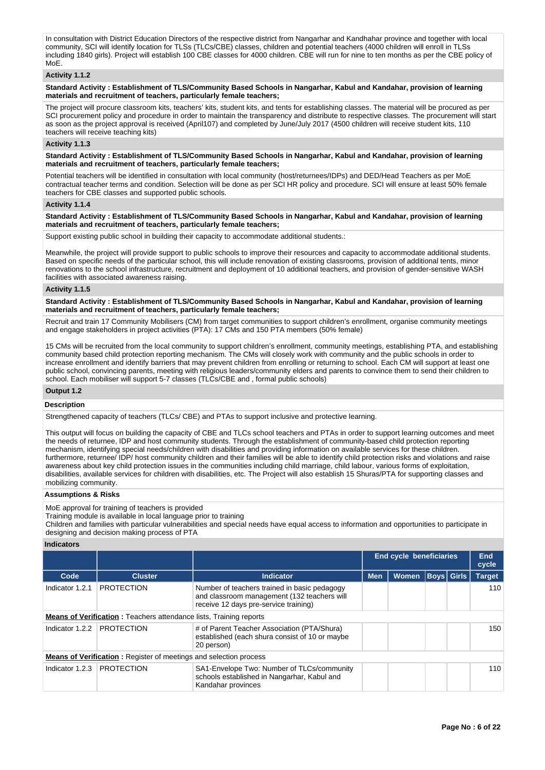In consultation with District Education Directors of the respective district from Nangarhar and Kandhahar province and together with local community, SCI will identify location for TLSs (TLCs/CBE) classes, children and potential teachers (4000 children will enroll in TLSs including 1840 girls). Project will establish 100 CBE classes for 4000 children. CBE will run for nine to ten months as per the CBE policy of  $M \cap F$ 

### **Activity 1.1.2**

**Standard Activity : Establishment of TLS/Community Based Schools in Nangarhar, Kabul and Kandahar, provision of learning materials and recruitment of teachers, particularly female teachers;**

The project will procure classroom kits, teachers' kits, student kits, and tents for establishing classes. The material will be procured as per SCI procurement policy and procedure in order to maintain the transparency and distribute to respective classes. The procurement will start as soon as the project approval is received (April107) and completed by June/July 2017 (4500 children will receive student kits, 110 teachers will receive teaching kits)

### **Activity 1.1.3**

**Standard Activity : Establishment of TLS/Community Based Schools in Nangarhar, Kabul and Kandahar, provision of learning materials and recruitment of teachers, particularly female teachers;**

Potential teachers will be identified in consultation with local community (host/returnees/IDPs) and DED/Head Teachers as per MoE contractual teacher terms and condition. Selection will be done as per SCI HR policy and procedure. SCI will ensure at least 50% female teachers for CBE classes and supported public schools.

### **Activity 1.1.4**

**Standard Activity : Establishment of TLS/Community Based Schools in Nangarhar, Kabul and Kandahar, provision of learning materials and recruitment of teachers, particularly female teachers;**

Support existing public school in building their capacity to accommodate additional students.:

Meanwhile, the project will provide support to public schools to improve their resources and capacity to accommodate additional students. Based on specific needs of the particular school, this will include renovation of existing classrooms, provision of additional tents, minor renovations to the school infrastructure, recruitment and deployment of 10 additional teachers, and provision of gender-sensitive WASH facilities with associated awareness raising.

### **Activity 1.1.5**

**Standard Activity : Establishment of TLS/Community Based Schools in Nangarhar, Kabul and Kandahar, provision of learning materials and recruitment of teachers, particularly female teachers;**

Recruit and train 17 Community Mobilisers (CM) from target communities to support children's enrollment, organise community meetings and engage stakeholders in project activities (PTA): 17 CMs and 150 PTA members (50% female)

15 CMs will be recruited from the local community to support children's enrollment, community meetings, establishing PTA, and establishing community based child protection reporting mechanism. The CMs will closely work with community and the public schools in order to increase enrollment and identify barriers that may prevent children from enrolling or returning to school. Each CM will support at least one public school, convincing parents, meeting with religious leaders/community elders and parents to convince them to send their children to school. Each mobiliser will support 5-7 classes (TLCs/CBE and , formal public schools)

# **Output 1.2**

### **Description**

Strengthened capacity of teachers (TLCs/ CBE) and PTAs to support inclusive and protective learning.

This output will focus on building the capacity of CBE and TLCs school teachers and PTAs in order to support learning outcomes and meet the needs of returnee, IDP and host community students. Through the establishment of community-based child protection reporting mechanism, identifying special needs/children with disabilities and providing information on available services for these children. furthermore, returnee/ IDP/ host community children and their families will be able to identify child protection risks and violations and raise awareness about key child protection issues in the communities including child marriage, child labour, various forms of exploitation, disabilities, available services for children with disabilities, etc. The Project will also establish 15 Shuras/PTA for supporting classes and mobilizing community.

### **Assumptions & Risks**

MoE approval for training of teachers is provided

Training module is available in local language prior to training

Children and families with particular vulnerabilities and special needs have equal access to information and opportunities to participate in designing and decision making process of PTA

### **Indicators**

|                 |                                                                           | <b>End cycle beneficiaries</b>                                                                                                       |                            |     |             |  |               |
|-----------------|---------------------------------------------------------------------------|--------------------------------------------------------------------------------------------------------------------------------------|----------------------------|-----|-------------|--|---------------|
| Code            | <b>Cluster</b>                                                            | <b>Indicator</b>                                                                                                                     | <b>Men</b><br><b>Women</b> |     | Boys  Girls |  | <b>Target</b> |
| Indicator 1.2.1 | <b>PROTECTION</b>                                                         | Number of teachers trained in basic pedagogy<br>and classroom management (132 teachers will<br>receive 12 days pre-service training) |                            |     |             |  | 110           |
|                 | <b>Means of Verification:</b> Teachers attendance lists, Training reports |                                                                                                                                      |                            |     |             |  |               |
| Indicator 1.2.2 | <b>PROTECTION</b>                                                         | # of Parent Teacher Association (PTA/Shura)<br>established (each shura consist of 10 or maybe<br>20 person)                          |                            |     |             |  | 150           |
|                 | <b>Means of Verification:</b> Register of meetings and selection process  |                                                                                                                                      |                            |     |             |  |               |
| Indicator 1.2.3 | <b>PROTECTION</b>                                                         | SA1-Envelope Two: Number of TLCs/community<br>schools established in Nangarhar, Kabul and<br>Kandahar provinces                      |                            | 110 |             |  |               |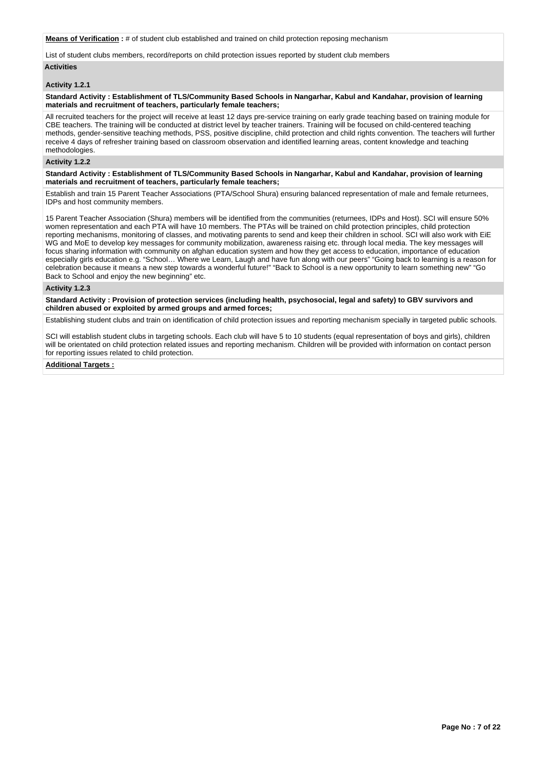**Means of Verification :** # of student club established and trained on child protection reposing mechanism

List of student clubs members, record/reports on child protection issues reported by student club members

# **Activities**

# **Activity 1.2.1**

### **Standard Activity : Establishment of TLS/Community Based Schools in Nangarhar, Kabul and Kandahar, provision of learning materials and recruitment of teachers, particularly female teachers;**

All recruited teachers for the project will receive at least 12 days pre-service training on early grade teaching based on training module for CBE teachers. The training will be conducted at district level by teacher trainers. Training will be focused on child-centered teaching methods, gender-sensitive teaching methods, PSS, positive discipline, child protection and child rights convention. The teachers will further receive 4 days of refresher training based on classroom observation and identified learning areas, content knowledge and teaching methodologies

### **Activity 1.2.2**

**Standard Activity : Establishment of TLS/Community Based Schools in Nangarhar, Kabul and Kandahar, provision of learning materials and recruitment of teachers, particularly female teachers;**

Establish and train 15 Parent Teacher Associations (PTA/School Shura) ensuring balanced representation of male and female returnees, IDPs and host community members.

15 Parent Teacher Association (Shura) members will be identified from the communities (returnees, IDPs and Host). SCI will ensure 50% women representation and each PTA will have 10 members. The PTAs will be trained on child protection principles, child protection reporting mechanisms, monitoring of classes, and motivating parents to send and keep their children in school. SCI will also work with EiE WG and MoE to develop key messages for community mobilization, awareness raising etc. through local media. The key messages will focus sharing information with community on afghan education system and how they get access to education, importance of education especially girls education e.g. "School… Where we Learn, Laugh and have fun along with our peers" "Going back to learning is a reason for celebration because it means a new step towards a wonderful future!" "Back to School is a new opportunity to learn something new" "Go Back to School and enjoy the new beginning" etc.

### **Activity 1.2.3**

**Standard Activity : Provision of protection services (including health, psychosocial, legal and safety) to GBV survivors and children abused or exploited by armed groups and armed forces;**

Establishing student clubs and train on identification of child protection issues and reporting mechanism specially in targeted public schools.

SCI will establish student clubs in targeting schools. Each club will have 5 to 10 students (equal representation of boys and girls), children will be orientated on child protection related issues and reporting mechanism. Children will be provided with information on contact person for reporting issues related to child protection.

### **Additional Targets :**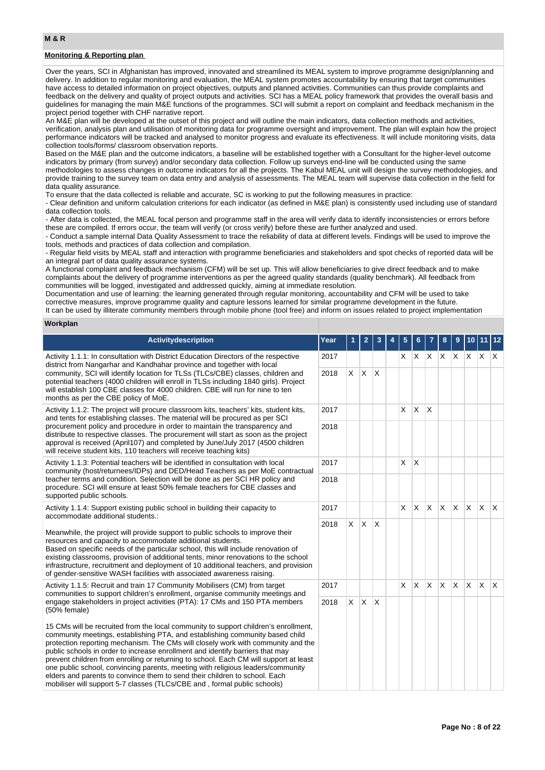# **M & R**

# **Monitoring & Reporting plan**

Over the years, SCI in Afghanistan has improved, innovated and streamlined its MEAL system to improve programme design/planning and delivery. In addition to regular monitoring and evaluation, the MEAL system promotes accountability by ensuring that target communities have access to detailed information on project objectives, outputs and planned activities. Communities can thus provide complaints and feedback on the delivery and quality of project outputs and activities. SCI has a MEAL policy framework that provides the overall basis and guidelines for managing the main M&E functions of the programmes. SCI will submit a report on complaint and feedback mechanism in the project period together with CHF narrative report.

An M&E plan will be developed at the outset of this project and will outline the main indicators, data collection methods and activities, verification, analysis plan and utilisation of monitoring data for programme oversight and improvement. The plan will explain how the project performance indicators will be tracked and analysed to monitor progress and evaluate its effectiveness. It will include monitoring visits, data collection tools/forms/ classroom observation reports.

Based on the M&E plan and the outcome indicators, a baseline will be established together with a Consultant for the higher-level outcome indicators by primary (from survey) and/or secondary data collection. Follow up surveys end-line will be conducted using the same methodologies to assess changes in outcome indicators for all the projects. The Kabul MEAL unit will design the survey methodologies, and provide training to the survey team on data entry and analysis of assessments. The MEAL team will supervise data collection in the field for data quality assurance.

To ensure that the data collected is reliable and accurate, SC is working to put the following measures in practice:

- Clear definition and uniform calculation criterions for each indicator (as defined in M&E plan) is consistently used including use of standard data collection tools.

- After data is collected, the MEAL focal person and programme staff in the area will verify data to identify inconsistencies or errors before these are compiled. If errors occur, the team will verify (or cross verify) before these are further analyzed and used.

- Conduct a sample internal Data Quality Assessment to trace the reliability of data at different levels. Findings will be used to improve the tools, methods and practices of data collection and compilation.

- Regular field visits by MEAL staff and interaction with programme beneficiaries and stakeholders and spot checks of reported data will be an integral part of data quality assurance systems.

A functional complaint and feedback mechanism (CFM) will be set up. This will allow beneficiaries to give direct feedback and to make complaints about the delivery of programme interventions as per the agreed quality standards (quality benchmark). All feedback from communities will be logged, investigated and addressed quickly, aiming at immediate resolution.

Documentation and use of learning: the learning generated through regular monitoring, accountability and CFM will be used to take corrective measures, improve programme quality and capture lessons learned for similar programme development in the future. It can be used by illiterate community members through mobile phone (tool free) and inform on issues related to project implementation

### **Workplan**

| <b>Activitydescription</b>                                                                                                                                                                                                                                                                                                                                                                                                                                                                                                                                                                                                                                                     | Year |                | $\mathbf{2}$ | 3                       | 5        | 6        | $\overline{7}$ | 8   | 9            |              | 10 11 12 |              |
|--------------------------------------------------------------------------------------------------------------------------------------------------------------------------------------------------------------------------------------------------------------------------------------------------------------------------------------------------------------------------------------------------------------------------------------------------------------------------------------------------------------------------------------------------------------------------------------------------------------------------------------------------------------------------------|------|----------------|--------------|-------------------------|----------|----------|----------------|-----|--------------|--------------|----------|--------------|
| Activity 1.1.1: In consultation with District Education Directors of the respective<br>district from Nangarhar and Kandhahar province and together with local                                                                                                                                                                                                                                                                                                                                                                                                                                                                                                                  | 2017 |                |              |                         | X.       | X        | IX.            |     | X X          | $X$ $X$      |          | $\mathsf{X}$ |
| community, SCI will identify location for TLSs (TLCs/CBE) classes, children and<br>potential teachers (4000 children will enroll in TLSs including 1840 girls). Project<br>will establish 100 CBE classes for 4000 children. CBE will run for nine to ten<br>months as per the CBE policy of MoE.                                                                                                                                                                                                                                                                                                                                                                              | 2018 | X.             | $\times$     | $\overline{\mathsf{x}}$ |          |          |                |     |              |              |          |              |
| Activity 1.1.2: The project will procure classroom kits, teachers' kits, student kits,<br>and tents for establishing classes. The material will be procured as per SCI                                                                                                                                                                                                                                                                                                                                                                                                                                                                                                         | 2017 |                |              |                         | $\times$ | X.       | X              |     |              |              |          |              |
| procurement policy and procedure in order to maintain the transparency and<br>distribute to respective classes. The procurement will start as soon as the project<br>approval is received (April107) and completed by June/July 2017 (4500 children<br>will receive student kits, 110 teachers will receive teaching kits)                                                                                                                                                                                                                                                                                                                                                     | 2018 |                |              |                         |          |          |                |     |              |              |          |              |
| Activity 1.1.3: Potential teachers will be identified in consultation with local<br>community (host/returnees/IDPs) and DED/Head Teachers as per MoE contractual                                                                                                                                                                                                                                                                                                                                                                                                                                                                                                               | 2017 |                |              |                         | $\times$ | X        |                |     |              |              |          |              |
| teacher terms and condition. Selection will be done as per SCI HR policy and<br>procedure. SCI will ensure at least 50% female teachers for CBE classes and<br>supported public schools.                                                                                                                                                                                                                                                                                                                                                                                                                                                                                       |      |                |              |                         |          |          |                |     |              |              |          |              |
| Activity 1.1.4: Support existing public school in building their capacity to<br>accommodate additional students.:                                                                                                                                                                                                                                                                                                                                                                                                                                                                                                                                                              |      |                |              |                         | X.       | <b>X</b> | ΙX.            | X.  | $\mathsf{X}$ | $\mathsf{X}$ | IX.      | $\mathsf{X}$ |
| Meanwhile, the project will provide support to public schools to improve their<br>resources and capacity to accommodate additional students.<br>Based on specific needs of the particular school, this will include renovation of<br>existing classrooms, provision of additional tents, minor renovations to the school<br>infrastructure, recruitment and deployment of 10 additional teachers, and provision<br>of gender-sensitive WASH facilities with associated awareness raising.                                                                                                                                                                                      | 2018 | <b>X</b>       | X.           | $\overline{\mathsf{x}}$ |          |          |                |     |              |              |          |              |
| Activity 1.1.5: Recruit and train 17 Community Mobilisers (CM) from target<br>communities to support children's enrollment, organise community meetings and                                                                                                                                                                                                                                                                                                                                                                                                                                                                                                                    | 2017 |                |              |                         | $\times$ | X.       | ΙX.            | ΙX. | $\mathsf{X}$ | $\mathsf{X}$ | ΙX.      | $\mathsf{X}$ |
| engage stakeholders in project activities (PTA): 17 CMs and 150 PTA members<br>(50% female)                                                                                                                                                                                                                                                                                                                                                                                                                                                                                                                                                                                    |      | $\mathsf{X}^-$ | $\times$     | $\overline{\mathsf{x}}$ |          |          |                |     |              |              |          |              |
| 15 CMs will be recruited from the local community to support children's enrollment,<br>community meetings, establishing PTA, and establishing community based child<br>protection reporting mechanism. The CMs will closely work with community and the<br>public schools in order to increase enrollment and identify barriers that may<br>prevent children from enrolling or returning to school. Each CM will support at least<br>one public school, convincing parents, meeting with religious leaders/community<br>elders and parents to convince them to send their children to school. Each<br>mobiliser will support 5-7 classes (TLCs/CBE and, formal public schools) |      |                |              |                         |          |          |                |     |              |              |          |              |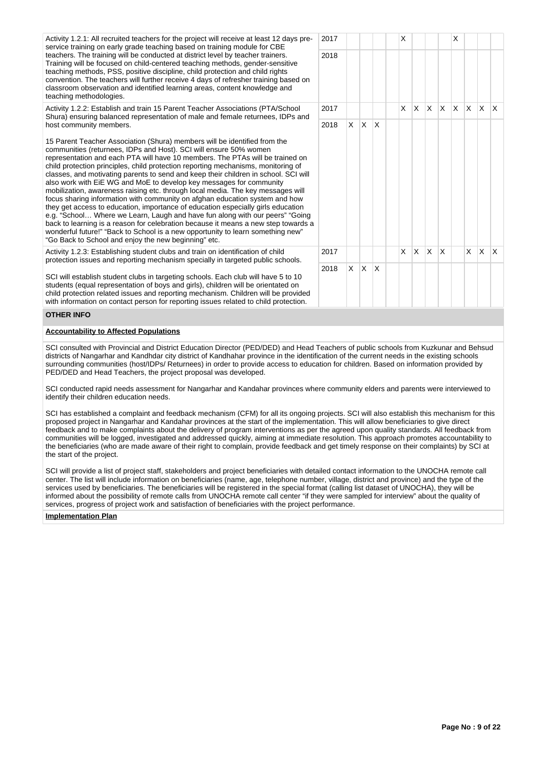Activity 1.2.1: All recruited teachers for the project will receive at least 12 days preservice training on early grade teaching based on training module for CBE teachers. The training will be conducted at district level by teacher trainers. Training will be focused on child-centered teaching methods, gender-sensitive teaching methods, PSS, positive discipline, child protection and child rights convention. The teachers will further receive 4 days of refresher training based on classroom observation and identified learning areas, content knowledge and teaching methodologies.

Activity 1.2.2: Establish and train 15 Parent Teacher Associations (PTA/School Shura) ensuring balanced representation of male and female returnees, IDPs and host community members.

15 Parent Teacher Association (Shura) members will be identified from the communities (returnees, IDPs and Host). SCI will ensure 50% women representation and each PTA will have 10 members. The PTAs will be trained on child protection principles, child protection reporting mechanisms, monitoring of classes, and motivating parents to send and keep their children in school. SCI will also work with EiE WG and MoE to develop key messages for community mobilization, awareness raising etc. through local media. The key messages will focus sharing information with community on afghan education system and how they get access to education, importance of education especially girls education e.g. "School… Where we Learn, Laugh and have fun along with our peers" "Going back to learning is a reason for celebration because it means a new step towards wonderful future!" "Back to School is a new opportunity to learn something new" "Go Back to School and enjoy the new beginning" etc.

Activity 1.2.3: Establishing student clubs and train on identification of child protection issues and reporting mechanism specially in targeted public schools.

SCI will establish student clubs in targeting schools. Each club will have 5 to 10 students (equal representation of boys and girls), children will be orientated on child protection related issues and reporting mechanism. Children will be provided with information on contact person for reporting issues related to child protection.

# **OTHER INFO**

#### **Accountability to Affected Populations**

SCI consulted with Provincial and District Education Director (PED/DED) and Head Teachers of public schools from Kuzkunar and Behsud districts of Nangarhar and Kandhdar city district of Kandhahar province in the identification of the current needs in the existing schools surrounding communities (host/IDPs/ Returnees) in order to provide access to education for children. Based on information provided by PED/DED and Head Teachers, the project proposal was developed.

SCI conducted rapid needs assessment for Nangarhar and Kandahar provinces where community elders and parents were interviewed to identify their children education needs.

SCI has established a complaint and feedback mechanism (CFM) for all its ongoing projects. SCI will also establish this mechanism for this proposed project in Nangarhar and Kandahar provinces at the start of the implementation. This will allow beneficiaries to give direct feedback and to make complaints about the delivery of program interventions as per the agreed upon quality standards. All feedback from communities will be logged, investigated and addressed quickly, aiming at immediate resolution. This approach promotes accountability to the beneficiaries (who are made aware of their right to complain, provide feedback and get timely response on their complaints) by SCI at the start of the project.

SCI will provide a list of project staff, stakeholders and project beneficiaries with detailed contact information to the UNOCHA remote call center. The list will include information on beneficiaries (name, age, telephone number, village, district and province) and the type of the services used by beneficiaries. The beneficiaries will be registered in the special format (calling list dataset of UNOCHA), they will be informed about the possibility of remote calls from UNOCHA remote call center "if they were sampled for interview" about the quality of services, progress of project work and satisfaction of beneficiaries with the project performance.

### **Implementation Plan**

| $\overline{\phantom{a}}$ | 2017 |             |                |             | X           |            |   |              | X |                |                           |              |
|--------------------------|------|-------------|----------------|-------------|-------------|------------|---|--------------|---|----------------|---------------------------|--------------|
|                          | 2018 |             |                |             |             |            |   |              |   |                |                           |              |
|                          | 2017 |             |                |             | X           | X          | X | X            | X | X              | X                         | X            |
|                          | 2018 | Χ           | $\mathsf{X}^-$ | X           |             |            |   |              |   |                |                           |              |
| a                        |      |             |                |             |             |            |   |              |   |                |                           |              |
|                          | 2017 |             |                |             | $\mathsf X$ | $x \mid x$ |   | $\mathsf{X}$ |   | $\mathsf{X}^-$ | $\boldsymbol{\mathsf{X}}$ | $\mathsf{X}$ |
|                          | 2018 | $\mathsf X$ | $\mathsf{X}^-$ | $\mathsf X$ |             |            |   |              |   |                |                           |              |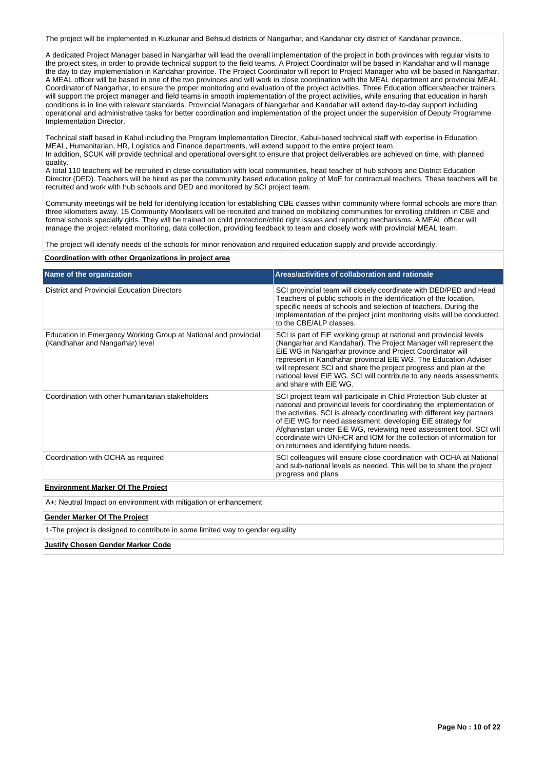The project will be implemented in Kuzkunar and Behsud districts of Nangarhar, and Kandahar city district of Kandahar province.

A dedicated Project Manager based in Nangarhar will lead the overall implementation of the project in both provinces with regular visits to the project sites, in order to provide technical support to the field teams. A Project Coordinator will be based in Kandahar and will manage the day to day implementation in Kandahar province. The Project Coordinator will report to Project Manager who will be based in Nangarhar. A MEAL officer will be based in one of the two provinces and will work in close coordination with the MEAL department and provincial MEAL Coordinator of Nangarhar, to ensure the proper monitoring and evaluation of the project activities. Three Education officers/teacher trainers will support the project manager and field teams in smooth implementation of the project activities, while ensuring that education in harsh conditions is in line with relevant standards. Provincial Managers of Nangarhar and Kandahar will extend day-to-day support including operational and administrative tasks for better coordination and implementation of the project under the supervision of Deputy Programme Implementation Director.

Technical staff based in Kabul including the Program Implementation Director, Kabul-based technical staff with expertise in Education, MEAL, Humanitarian, HR, Logistics and Finance departments, will extend support to the entire project team. In addition, SCUK will provide technical and operational oversight to ensure that project deliverables are achieved on time, with planned quality.

A total 110 teachers will be recruited in close consultation with local communities, head teacher of hub schools and District Education Director (DED). Teachers will be hired as per the community based education policy of MoE for contractual teachers. These teachers will be recruited and work with hub schools and DED and monitored by SCI project team.

Community meetings will be held for identifying location for establishing CBE classes within community where formal schools are more than three kilometers away. 15 Community Mobilisers will be recruited and trained on mobilizing communities for enrolling children in CBE and formal schools specially girls. They will be trained on child protection/child right issues and reporting mechanisms. A MEAL officer will manage the project related monitoring, data collection, providing feedback to team and closely work with provincial MEAL team.

The project will identify needs of the schools for minor renovation and required education supply and provide accordingly.

**Coordination with other Organizations in project area**

| Name of the organization                                                                           | Areas/activities of collaboration and rationale                                                                                                                                                                                                                                                                                                                                                                                                                                   |  |  |  |  |  |
|----------------------------------------------------------------------------------------------------|-----------------------------------------------------------------------------------------------------------------------------------------------------------------------------------------------------------------------------------------------------------------------------------------------------------------------------------------------------------------------------------------------------------------------------------------------------------------------------------|--|--|--|--|--|
| <b>District and Provincial Education Directors</b>                                                 | SCI provincial team will closely coordinate with DED/PED and Head<br>Teachers of public schools in the identification of the location,<br>specific needs of schools and selection of teachers. During the<br>implementation of the project joint monitoring visits will be conducted<br>to the CBE/ALP classes.                                                                                                                                                                   |  |  |  |  |  |
| Education in Emergency Working Group at National and provincial<br>(Kandhahar and Nangarhar) level | SCI is part of EiE working group at national and provincial levels<br>(Nangarhar and Kandahar). The Project Manager will represent the<br>EiE WG in Nangarhar province and Project Coordinator will<br>represent in Kandhahar provincial EIE WG. The Education Adviser<br>will represent SCI and share the project progress and plan at the<br>national level EIE WG. SCI will contribute to any needs assessments<br>and share with EiE WG.                                      |  |  |  |  |  |
| Coordination with other humanitarian stakeholders                                                  | SCI project team will participate in Child Protection Sub cluster at<br>national and provincial levels for coordinating the implementation of<br>the activities. SCI is already coordinating with different key partners<br>of EiE WG for need assessment, developing EiE strategy for<br>Afghanistan under EiE WG, reviewing need assessment tool. SCI will<br>coordinate with UNHCR and IOM for the collection of information for<br>on returnees and identifying future needs. |  |  |  |  |  |
| Coordination with OCHA as required                                                                 | SCI colleagues will ensure close coordination with OCHA at National<br>and sub-national levels as needed. This will be to share the project<br>progress and plans                                                                                                                                                                                                                                                                                                                 |  |  |  |  |  |
| <b>Environment Marker Of The Project</b>                                                           |                                                                                                                                                                                                                                                                                                                                                                                                                                                                                   |  |  |  |  |  |
| A+: Neutral Impact on environment with mitigation or enhancement                                   |                                                                                                                                                                                                                                                                                                                                                                                                                                                                                   |  |  |  |  |  |
| <b>Gender Marker Of The Project</b>                                                                |                                                                                                                                                                                                                                                                                                                                                                                                                                                                                   |  |  |  |  |  |
| 1-The project is designed to contribute in some limited way to gender equality                     |                                                                                                                                                                                                                                                                                                                                                                                                                                                                                   |  |  |  |  |  |
| <b>Justify Chosen Gender Marker Code</b>                                                           |                                                                                                                                                                                                                                                                                                                                                                                                                                                                                   |  |  |  |  |  |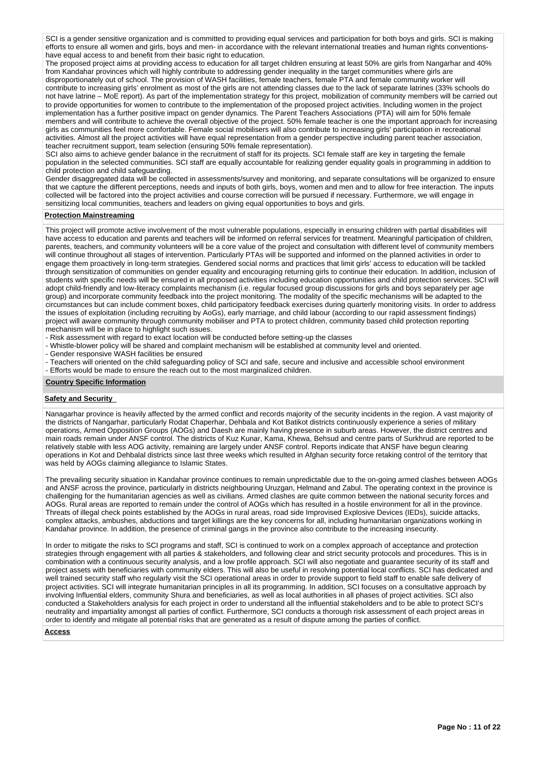SCI is a gender sensitive organization and is committed to providing equal services and participation for both boys and girls. SCI is making efforts to ensure all women and girls, boys and men- in accordance with the relevant international treaties and human rights conventionshave equal access to and benefit from their basic right to education.

The proposed project aims at providing access to education for all target children ensuring at least 50% are girls from Nangarhar and 40% from Kandahar provinces which will highly contribute to addressing gender inequality in the target communities where girls are disproportionately out of school. The provision of WASH facilities, female teachers, female PTA and female community worker will contribute to increasing girls' enrolment as most of the girls are not attending classes due to the lack of separate latrines (33% schools do not have latrine – MoE report). As part of the implementation strategy for this project, mobilization of community members will be carried out to provide opportunities for women to contribute to the implementation of the proposed project activities. Including women in the project implementation has a further positive impact on gender dynamics. The Parent Teachers Associations (PTA) will aim for 50% female members and will contribute to achieve the overall objective of the project. 50% female teacher is one the important approach for increasing girls as communities feel more comfortable. Female social mobilisers will also contribute to increasing girls' participation in recreational activities. Almost all the project activities will have equal representation from a gender perspective including parent teacher association, teacher recruitment support, team selection (ensuring 50% female representation).

SCI also aims to achieve gender balance in the recruitment of staff for its projects. SCI female staff are key in targeting the female population in the selected communities. SCI staff are equally accountable for realizing gender equality goals in programming in addition to child protection and child safeguarding.

Gender disaggregated data will be collected in assessments/survey and monitoring, and separate consultations will be organized to ensure that we capture the different perceptions, needs and inputs of both girls, boys, women and men and to allow for free interaction. The inputs collected will be factored into the project activities and course correction will be pursued if necessary. Furthermore, we will engage in sensitizing local communities, teachers and leaders on giving equal opportunities to boys and girls.

### **Protection Mainstreaming**

This project will promote active involvement of the most vulnerable populations, especially in ensuring children with partial disabilities will have access to education and parents and teachers will be informed on referral services for treatment. Meaningful participation of children, parents, teachers, and community volunteers will be a core value of the project and consultation with different level of community members will continue throughout all stages of intervention. Particularly PTAs will be supported and informed on the planned activities in order to engage them proactively in long-term strategies. Gendered social norms and practices that limit girls' access to education will be tackled through sensitization of communities on gender equality and encouraging returning girls to continue their education. In addition, inclusion of students with specific needs will be ensured in all proposed activities including education opportunities and child protection services. SCI will adopt child-friendly and low-literacy complaints mechanism (i.e. regular focused group discussions for girls and boys separately per age group) and incorporate community feedback into the project monitoring. The modality of the specific mechanisms will be adapted to the circumstances but can include comment boxes, child participatory feedback exercises during quarterly monitoring visits. In order to address the issues of exploitation (including recruiting by AoGs), early marriage, and child labour (according to our rapid assessment findings) project will aware community through community mobiliser and PTA to protect children, community based child protection reporting mechanism will be in place to highlight such issues.

- Risk assessment with regard to exact location will be conducted before setting-up the classes

- Whistle-blower policy will be shared and complaint mechanism will be established at community level and oriented.

- Gender responsive WASH facilities be ensured

- Teachers will oriented on the child safeguarding policy of SCI and safe, secure and inclusive and accessible school environment

- Efforts would be made to ensure the reach out to the most marginalized children.

### **Country Specific Information**

### **Safety and Security**

Nanagarhar province is heavily affected by the armed conflict and records majority of the security incidents in the region. A vast majority of the districts of Nangarhar, particularly Rodat Chaperhar, Dehbala and Kot Batikot districts continuously experience a series of military operations, Armed Opposition Groups (AOGs) and Daesh are mainly having presence in suburb areas. However, the district centres and main roads remain under ANSF control. The districts of Kuz Kunar, Kama, Khewa, Behsud and centre parts of Surkhrud are reported to be relatively stable with less AOG activity, remaining are largely under ANSF control. Reports indicate that ANSF have begun clearing operations in Kot and Dehbalal districts since last three weeks which resulted in Afghan security force retaking control of the territory that was held by AOGs claiming allegiance to Islamic States.

The prevailing security situation in Kandahar province continues to remain unpredictable due to the on-going armed clashes between AOGs and ANSF across the province, particularly in districts neighbouring Uruzgan, Helmand and Zabul. The operating context in the province is challenging for the humanitarian agencies as well as civilians. Armed clashes are quite common between the national security forces and AOGs. Rural areas are reported to remain under the control of AOGs which has resulted in a hostile environment for all in the province. Threats of illegal check points established by the AOGs in rural areas, road side Improvised Explosive Devices (IEDs), suicide attacks, complex attacks, ambushes, abductions and target killings are the key concerns for all, including humanitarian organizations working in Kandahar province. In addition, the presence of criminal gangs in the province also contribute to the increasing insecurity.

In order to mitigate the risks to SCI programs and staff, SCI is continued to work on a complex approach of acceptance and protection strategies through engagement with all parties & stakeholders, and following clear and strict security protocols and procedures. This is in combination with a continuous security analysis, and a low profile approach. SCI will also negotiate and guarantee security of its staff and project assets with beneficiaries with community elders. This will also be useful in resolving potential local conflicts. SCI has dedicated and well trained security staff who regularly visit the SCI operational areas in order to provide support to field staff to enable safe delivery of project activities. SCI will integrate humanitarian principles in all its programming. In addition, SCI focuses on a consultative approach by involving Influential elders, community Shura and beneficiaries, as well as local authorities in all phases of project activities. SCI also conducted a Stakeholders analysis for each project in order to understand all the influential stakeholders and to be able to protect SCI's neutrality and impartiality amongst all parties of conflict. Furthermore, SCI conducts a thorough risk assessment of each project areas in order to identify and mitigate all potential risks that are generated as a result of dispute among the parties of conflict.

### **Access**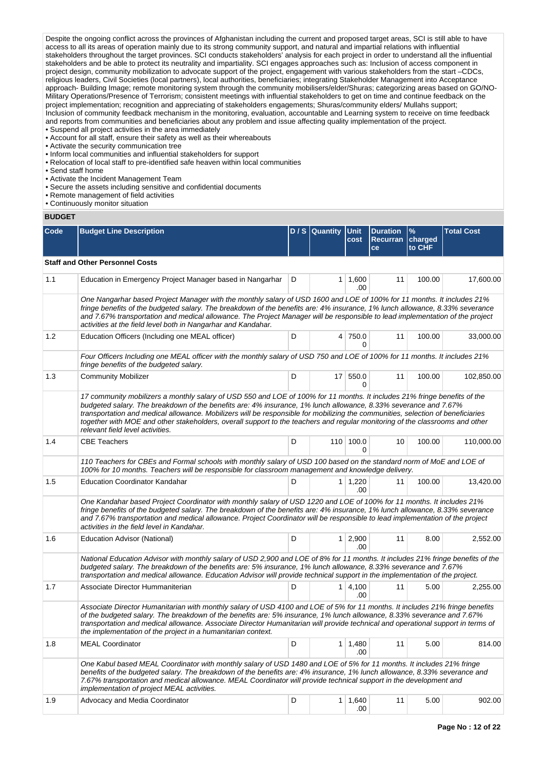Despite the ongoing conflict across the provinces of Afghanistan including the current and proposed target areas, SCI is still able to have access to all its areas of operation mainly due to its strong community support, and natural and impartial relations with influential stakeholders throughout the target provinces. SCI conducts stakeholders' analysis for each project in order to understand all the influential stakeholders and be able to protect its neutrality and impartiality. SCI engages approaches such as: Inclusion of access component in project design, community mobilization to advocate support of the project, engagement with various stakeholders from the start –CDCs, religious leaders, Civil Societies (local partners), local authorities, beneficiaries; integrating Stakeholder Management into Acceptance approach- Building Image; remote monitoring system through the community mobilisers/elder/Shuras; categorizing areas based on GO/NO-Military Operations/Presence of Terrorism; consistent meetings with influential stakeholders to get on time and continue feedback on the project implementation; recognition and appreciating of stakeholders engagements; Shuras/community elders/ Mullahs support; Inclusion of community feedback mechanism in the monitoring, evaluation, accountable and Learning system to receive on time feedback and reports from communities and beneficiaries about any problem and issue affecting quality implementation of the project.

• Suspend all project activities in the area immediately • Account for all staff, ensure their safety as well as their whereabouts

- Activate the security communication tree
- Inform local communities and influential stakeholders for support
- Relocation of local staff to pre-identified safe heaven within local communities
- Send staff home
- Activate the Incident Management Team
- Secure the assets including sensitive and confidential documents
- Remote management of field activities
- Continuously monitor situation

# **BUDGET**

| Code | <b>Budget Line Description</b>                                                                                                                                                                                                                                                                                                                                                                                                                                                                                                                      |   | D / S Quantity Unit | cost                  | <b>Duration</b><br><b>Recurran</b><br>ce | $\frac{9}{6}$<br>charged<br>to CHF | <b>Total Cost</b> |  |
|------|-----------------------------------------------------------------------------------------------------------------------------------------------------------------------------------------------------------------------------------------------------------------------------------------------------------------------------------------------------------------------------------------------------------------------------------------------------------------------------------------------------------------------------------------------------|---|---------------------|-----------------------|------------------------------------------|------------------------------------|-------------------|--|
|      | <b>Staff and Other Personnel Costs</b>                                                                                                                                                                                                                                                                                                                                                                                                                                                                                                              |   |                     |                       |                                          |                                    |                   |  |
| 1.1  | Education in Emergency Project Manager based in Nangarhar                                                                                                                                                                                                                                                                                                                                                                                                                                                                                           | D |                     | $1 \mid 1,600$<br>.00 | 11                                       | 100.00                             | 17,600.00         |  |
|      | One Nangarhar based Project Manager with the monthly salary of USD 1600 and LOE of 100% for 11 months. It includes 21%<br>fringe benefits of the budgeted salary. The breakdown of the benefits are: 4% insurance, 1% lunch allowance, 8.33% severance<br>and 7.67% transportation and medical allowance. The Project Manager will be responsible to lead implementation of the project<br>activities at the field level both in Nangarhar and Kandahar.                                                                                            |   |                     |                       |                                          |                                    |                   |  |
| 1.2  | Education Officers (Including one MEAL officer)                                                                                                                                                                                                                                                                                                                                                                                                                                                                                                     | D |                     | 4 750.0<br>0          | 11                                       | 100.00                             | 33,000.00         |  |
|      | Four Officers Including one MEAL officer with the monthly salary of USD 750 and LOE of 100% for 11 months. It includes 21%<br>fringe benefits of the budgeted salary.                                                                                                                                                                                                                                                                                                                                                                               |   |                     |                       |                                          |                                    |                   |  |
| 1.3  | <b>Community Mobilizer</b>                                                                                                                                                                                                                                                                                                                                                                                                                                                                                                                          | D |                     | 17 550.0<br>0         | 11                                       | 100.00                             | 102,850.00        |  |
|      | 17 community mobilizers a monthly salary of USD 550 and LOE of 100% for 11 months. It includes 21% fringe benefits of the<br>budgeted salary. The breakdown of the benefits are: 4% insurance, 1% lunch allowance, 8.33% severance and 7.67%<br>transportation and medical allowance. Mobilizers will be responsible for mobilizing the communities, selection of beneficiaries<br>together with MOE and other stakeholders, overall support to the teachers and regular monitoring of the classrooms and other<br>relevant field level activities. |   |                     |                       |                                          |                                    |                   |  |
| 1.4  | <b>CBE Teachers</b>                                                                                                                                                                                                                                                                                                                                                                                                                                                                                                                                 | D |                     | 110 100.0<br>0        | 10                                       | 100.00                             | 110,000.00        |  |
|      | 110 Teachers for CBEs and Formal schools with monthly salary of USD 100 based on the standard norm of MoE and LOE of<br>100% for 10 months. Teachers will be responsible for classroom management and knowledge delivery.                                                                                                                                                                                                                                                                                                                           |   |                     |                       |                                          |                                    |                   |  |
| 1.5  | <b>Education Coordinator Kandahar</b>                                                                                                                                                                                                                                                                                                                                                                                                                                                                                                               | D |                     | 1 1,220<br>.00        | 11                                       | 100.00                             | 13,420.00         |  |
|      | One Kandahar based Project Coordinator with monthly salary of USD 1220 and LOE of 100% for 11 months. It includes 21%<br>fringe benefits of the budgeted salary. The breakdown of the benefits are: 4% insurance, 1% lunch allowance, 8.33% severance<br>and 7.67% transportation and medical allowance. Project Coordinator will be responsible to lead implementation of the project<br>activities in the field level in Kandahar.                                                                                                                |   |                     |                       |                                          |                                    |                   |  |
| 1.6  | Education Advisor (National)                                                                                                                                                                                                                                                                                                                                                                                                                                                                                                                        | D |                     | $1 \ 2,900$<br>.00    | 11                                       | 8.00                               | 2,552.00          |  |
|      | National Education Advisor with monthly salary of USD 2,900 and LOE of 8% for 11 months. It includes 21% fringe benefits of the<br>budgeted salary. The breakdown of the benefits are: 5% insurance, 1% lunch allowance, 8.33% severance and 7.67%<br>transportation and medical allowance. Education Advisor will provide technical support in the implementation of the project.                                                                                                                                                                  |   |                     |                       |                                          |                                    |                   |  |
| 1.7  | Associate Director Hummaniterian                                                                                                                                                                                                                                                                                                                                                                                                                                                                                                                    | D |                     | $1 \mid 4,100$<br>.00 | 11                                       | 5.00                               | 2,255.00          |  |
|      | Associate Director Humanitarian with monthly salary of USD 4100 and LOE of 5% for 11 months. It includes 21% fringe benefits<br>of the budgeted salary. The breakdown of the benefits are: 5% insurance, 1% lunch allowance, 8.33% severance and 7.67%<br>transportation and medical allowance. Associate Director Humanitarian will provide technical and operational support in terms of<br>the implementation of the project in a humanitarian context.                                                                                          |   |                     |                       |                                          |                                    |                   |  |
| 1.8  | <b>MEAL Coordinator</b>                                                                                                                                                                                                                                                                                                                                                                                                                                                                                                                             | D |                     | $1 \mid 1,480$<br>.00 | 11                                       | 5.00                               | 814.00            |  |
|      | One Kabul based MEAL Coordinator with monthly salary of USD 1480 and LOE of 5% for 11 months. It includes 21% fringe<br>benefits of the budgeted salary. The breakdown of the benefits are: 4% insurance, 1% lunch allowance, 8.33% severance and<br>7.67% transportation and medical allowance. MEAL Coordinator will provide technical support in the development and<br>implementation of project MEAL activities.                                                                                                                               |   |                     |                       |                                          |                                    |                   |  |
| 1.9  | Advocacy and Media Coordinator                                                                                                                                                                                                                                                                                                                                                                                                                                                                                                                      | D |                     | $1 \mid 1,640$<br>.00 | 11                                       | 5.00                               | 902.00            |  |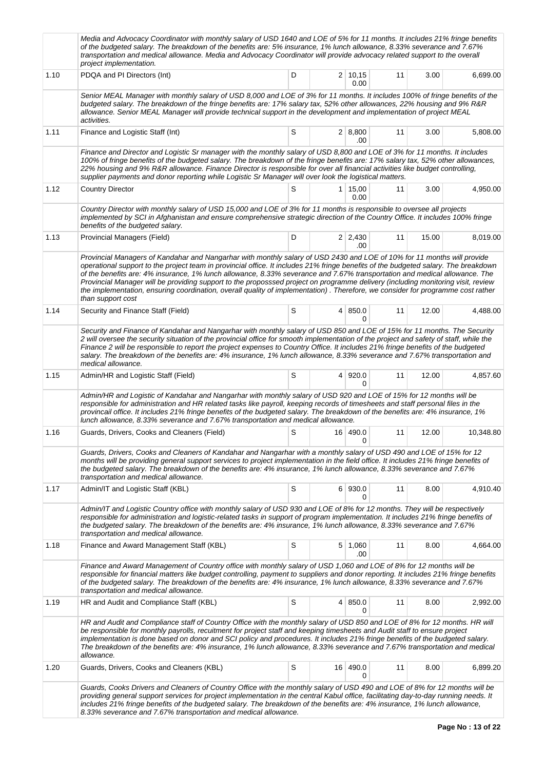|      | Media and Advocacy Coordinator with monthly salary of USD 1640 and LOE of 5% for 11 months. It includes 21% fringe benefits<br>of the budgeted salary. The breakdown of the benefits are: 5% insurance, 1% lunch allowance, 8.33% severance and 7.67%<br>transportation and medical allowance. Media and Advocacy Coordinator will provide advocacy related support to the overall<br>project implementation.                                                                                                                                                                                                                                                                            |   |                        |    |       |           |
|------|------------------------------------------------------------------------------------------------------------------------------------------------------------------------------------------------------------------------------------------------------------------------------------------------------------------------------------------------------------------------------------------------------------------------------------------------------------------------------------------------------------------------------------------------------------------------------------------------------------------------------------------------------------------------------------------|---|------------------------|----|-------|-----------|
| 1.10 | PDQA and PI Directors (Int)                                                                                                                                                                                                                                                                                                                                                                                                                                                                                                                                                                                                                                                              | D | $2 \mid 10,15$<br>0.00 | 11 | 3.00  | 6,699.00  |
|      | Senior MEAL Manager with monthly salary of USD 8,000 and LOE of 3% for 11 months. It includes 100% of fringe benefits of the<br>budgeted salary. The breakdown of the fringe benefits are: 17% salary tax, 52% other allowances, 22% housing and 9% R&R<br>allowance. Senior MEAL Manager will provide technical support in the development and implementation of project MEAL<br>activities.                                                                                                                                                                                                                                                                                            |   |                        |    |       |           |
| 1.11 | Finance and Logistic Staff (Int)                                                                                                                                                                                                                                                                                                                                                                                                                                                                                                                                                                                                                                                         | S | 2   8,800<br>.00       | 11 | 3.00  | 5,808.00  |
|      | Finance and Director and Logistic Sr manager with the monthly salary of USD 8,800 and LOE of 3% for 11 months. It includes<br>100% of fringe benefits of the budgeted salary. The breakdown of the fringe benefits are: 17% salary tax, 52% other allowances,<br>22% housing and 9% R&R allowance. Finance Director is responsible for over all financial activities like budget controlling,<br>supplier payments and donor reporting while Logistic Sr Manager will over look the logistical matters.                                                                                                                                                                                  |   |                        |    |       |           |
| 1.12 | <b>Country Director</b>                                                                                                                                                                                                                                                                                                                                                                                                                                                                                                                                                                                                                                                                  | S | $1 \mid 15,00$<br>0.00 | 11 | 3.00  | 4,950.00  |
|      | Country Director with monthly salary of USD 15,000 and LOE of 3% for 11 months is responsible to oversee all projects<br>implemented by SCI in Afghanistan and ensure comprehensive strategic direction of the Country Office. It includes 100% fringe<br>benefits of the budgeted salary.                                                                                                                                                                                                                                                                                                                                                                                               |   |                        |    |       |           |
| 1.13 | Provincial Managers (Field)                                                                                                                                                                                                                                                                                                                                                                                                                                                                                                                                                                                                                                                              | D | $2 \mid 2,430$<br>.00  | 11 | 15.00 | 8,019.00  |
|      | Provincial Managers of Kandahar and Nangarhar with monthly salary of USD 2430 and LOE of 10% for 11 months will provide<br>operational support to the project team in provincial office. It includes 21% fringe benefits of the budgeted salary. The breakdown<br>of the benefits are: 4% insurance, 1% lunch allowance, 8.33% severance and 7.67% transportation and medical allowance. The<br>Provincial Manager will be providing support to the proposssed project on programme delivery (including monitoring visit, review<br>the implementation, ensuring coordination, overall quality of implementation). Therefore, we consider for programme cost rather<br>than support cost |   |                        |    |       |           |
| 1.14 | Security and Finance Staff (Field)                                                                                                                                                                                                                                                                                                                                                                                                                                                                                                                                                                                                                                                       | S | 4 850.0<br>$\Omega$    | 11 | 12.00 | 4,488.00  |
|      | Security and Finance of Kandahar and Nangarhar with monthly salary of USD 850 and LOE of 15% for 11 months. The Security<br>2 will oversee the security situation of the provincial office for smooth implementation of the project and safety of staff, while the<br>Finance 2 will be responsible to report the project expenses to Country Office. It includes 21% fringe benefits of the budgeted<br>salary. The breakdown of the benefits are: 4% insurance, 1% lunch allowance, 8.33% severance and 7.67% transportation and<br>medical allowance.                                                                                                                                 |   |                        |    |       |           |
| 1.15 | Admin/HR and Logistic Staff (Field)                                                                                                                                                                                                                                                                                                                                                                                                                                                                                                                                                                                                                                                      | S | 4 920.0<br>$\Omega$    | 11 | 12.00 | 4,857.60  |
|      | Admin/HR and Logistic of Kandahar and Nangarhar with monthly salary of USD 920 and LOE of 15% for 12 months will be<br>responsible for administration and HR related tasks like payroll, keeping records of timesheets and staff personal files in the<br>provincail office. It includes 21% fringe benefits of the budgeted salary. The breakdown of the benefits are: 4% insurance, 1%<br>lunch allowance, 8.33% severance and 7.67% transportation and medical allowance.                                                                                                                                                                                                             |   |                        |    |       |           |
| 1.16 | Guards, Drivers, Cooks and Cleaners (Field)                                                                                                                                                                                                                                                                                                                                                                                                                                                                                                                                                                                                                                              | S | 16 490.0<br>0          | 11 | 12.00 | 10,348.80 |
|      | Guards, Drivers, Cooks and Cleaners of Kandahar and Nangarhar with a monthly salary of USD 490 and LOE of 15% for 12<br>months will be providing general support services to project implementation in the field office. It includes 21% fringe benefits of<br>the budgeted salary. The breakdown of the benefits are: 4% insurance, 1% lunch allowance, 8.33% severance and 7.67%<br>transportation and medical allowance.                                                                                                                                                                                                                                                              |   |                        |    |       |           |
| 1.17 | Admin/IT and Logistic Staff (KBL)                                                                                                                                                                                                                                                                                                                                                                                                                                                                                                                                                                                                                                                        | S | 6 930.0<br>0           | 11 | 8.00  | 4,910.40  |
|      | Admin/IT and Logistic Country office with monthly salary of USD 930 and LOE of 8% for 12 months. They will be respectively<br>responsible for administration and logistic-related tasks in support of program implementation. It includes 21% fringe benefits of<br>the budgeted salary. The breakdown of the benefits are: 4% insurance, 1% lunch allowance, 8.33% severance and 7.67%<br>transportation and medical allowance.                                                                                                                                                                                                                                                         |   |                        |    |       |           |
| 1.18 | Finance and Award Management Staff (KBL)                                                                                                                                                                                                                                                                                                                                                                                                                                                                                                                                                                                                                                                 | S | 5 1,060<br>.00         | 11 | 8.00  | 4,664.00  |
|      | Finance and Award Management of Country office with monthly salary of USD 1,060 and LOE of 8% for 12 months will be<br>responsible for financial matters like budget controlling, payment to suppliers and donor reporting. It includes 21% fringe benefits<br>of the budgeted salary. The breakdown of the benefits are: 4% insurance, 1% lunch allowance, 8.33% severance and 7.67%<br>transportation and medical allowance.                                                                                                                                                                                                                                                           |   |                        |    |       |           |
| 1.19 | HR and Audit and Compliance Staff (KBL)                                                                                                                                                                                                                                                                                                                                                                                                                                                                                                                                                                                                                                                  | S | 4   850.0<br>0         | 11 | 8.00  | 2,992.00  |
|      | HR and Audit and Compliance staff of Country Office with the monthly salary of USD 850 and LOE of 8% for 12 months. HR will<br>be responsible for monthly payrolls, recuitment for project staff and keeping timesheets and Audit staff to ensure project<br>implementation is done based on donor and SCI policy and procedures. It includes 21% fringe benefits of the budgeted salary.<br>The breakdown of the benefits are: 4% insurance, 1% lunch allowance, 8.33% severance and 7.67% transportation and medical<br>allowance.                                                                                                                                                     |   |                        |    |       |           |
| 1.20 | Guards, Drivers, Cooks and Cleaners (KBL)                                                                                                                                                                                                                                                                                                                                                                                                                                                                                                                                                                                                                                                | S | 16 490.0<br>0          | 11 | 8.00  | 6,899.20  |
|      | Guards, Cooks Drivers and Cleaners of Country Office with the monthly salary of USD 490 and LOE of 8% for 12 months will be<br>providing general support services for project implementation in the central Kabul office, facilitating day-to-day running needs. It<br>includes 21% fringe benefits of the budgeted salary. The breakdown of the benefits are: 4% insurance, 1% lunch allowance,<br>8.33% severance and 7.67% transportation and medical allowance.                                                                                                                                                                                                                      |   |                        |    |       |           |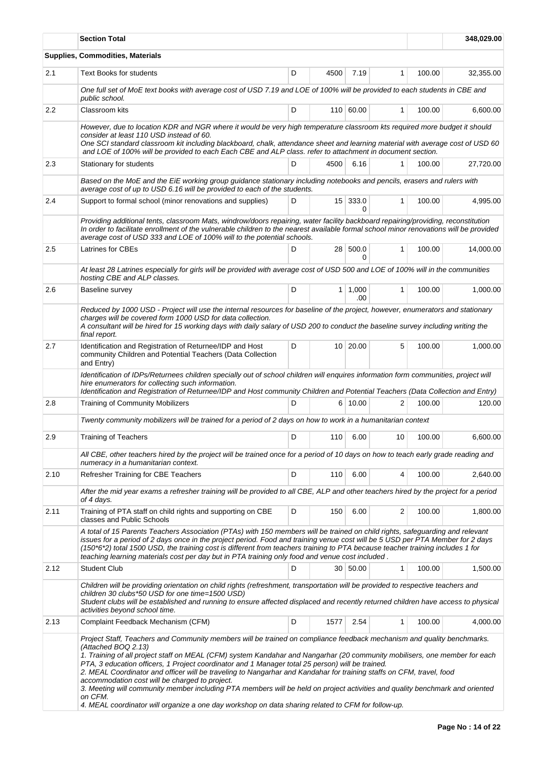|      | <b>Section Total</b><br>348,029.00                                                                                                                                                                                                                                                                                                                                                                                                                                                                                                                                                                                                                                                                                                                                                                         |   |      |                       |              |        |           |  |
|------|------------------------------------------------------------------------------------------------------------------------------------------------------------------------------------------------------------------------------------------------------------------------------------------------------------------------------------------------------------------------------------------------------------------------------------------------------------------------------------------------------------------------------------------------------------------------------------------------------------------------------------------------------------------------------------------------------------------------------------------------------------------------------------------------------------|---|------|-----------------------|--------------|--------|-----------|--|
|      | Supplies, Commodities, Materials                                                                                                                                                                                                                                                                                                                                                                                                                                                                                                                                                                                                                                                                                                                                                                           |   |      |                       |              |        |           |  |
| 2.1  | Text Books for students                                                                                                                                                                                                                                                                                                                                                                                                                                                                                                                                                                                                                                                                                                                                                                                    | D | 4500 | 7.19                  | 1            | 100.00 | 32,355.00 |  |
|      | One full set of MoE text books with average cost of USD 7.19 and LOE of 100% will be provided to each students in CBE and<br>public school.                                                                                                                                                                                                                                                                                                                                                                                                                                                                                                                                                                                                                                                                |   |      |                       |              |        |           |  |
| 2.2  | Classroom kits                                                                                                                                                                                                                                                                                                                                                                                                                                                                                                                                                                                                                                                                                                                                                                                             | D |      | 110 60.00             | $\mathbf{1}$ | 100.00 | 6,600.00  |  |
|      | However, due to location KDR and NGR where it would be very high temperature classroom kts required more budget it should<br>consider at least 110 USD instead of 60.<br>One SCI standard classroom kit including blackboard, chalk, attendance sheet and learning material with average cost of USD 60<br>and LOE of 100% will be provided to each Each CBE and ALP class. refer to attachment in document section.                                                                                                                                                                                                                                                                                                                                                                                       |   |      |                       |              |        |           |  |
| 2.3  | Stationary for students                                                                                                                                                                                                                                                                                                                                                                                                                                                                                                                                                                                                                                                                                                                                                                                    | D | 4500 | 6.16                  | 1            | 100.00 | 27,720.00 |  |
|      | Based on the MoE and the EiE working group guidance stationary including notebooks and pencils, erasers and rulers with<br>average cost of up to USD 6.16 will be provided to each of the students.                                                                                                                                                                                                                                                                                                                                                                                                                                                                                                                                                                                                        |   |      |                       |              |        |           |  |
| 2.4  | Support to formal school (minor renovations and supplies)                                                                                                                                                                                                                                                                                                                                                                                                                                                                                                                                                                                                                                                                                                                                                  | D |      | 15 333.0<br>0         | $\mathbf{1}$ | 100.00 | 4,995.00  |  |
|      | Providing additional tents, classroom Mats, windrow/doors repairing, water facility backboard repairing/providing, reconstitution<br>In order to facilitate enrollment of the vulnerable children to the nearest available formal school minor renovations will be provided<br>average cost of USD 333 and LOE of 100% will to the potential schools.                                                                                                                                                                                                                                                                                                                                                                                                                                                      |   |      |                       |              |        |           |  |
| 2.5  | Latrines for CBEs                                                                                                                                                                                                                                                                                                                                                                                                                                                                                                                                                                                                                                                                                                                                                                                          | D | 28   | 500.0<br>0            | $\mathbf{1}$ | 100.00 | 14,000.00 |  |
|      | At least 28 Latrines especially for girls will be provided with average cost of USD 500 and LOE of 100% will in the communities<br>hosting CBE and ALP classes.                                                                                                                                                                                                                                                                                                                                                                                                                                                                                                                                                                                                                                            |   |      |                       |              |        |           |  |
| 2.6  | Baseline survey                                                                                                                                                                                                                                                                                                                                                                                                                                                                                                                                                                                                                                                                                                                                                                                            | D |      | $1 \mid 1,000$<br>.00 | $\mathbf{1}$ | 100.00 | 1,000.00  |  |
|      | Reduced by 1000 USD - Project will use the internal resources for baseline of the project, however, enumerators and stationary<br>charges will be covered form 1000 USD for data collection.<br>A consultant will be hired for 15 working days with daily salary of USD 200 to conduct the baseline survey including writing the<br>final report.                                                                                                                                                                                                                                                                                                                                                                                                                                                          |   |      |                       |              |        |           |  |
| 2.7  | Identification and Registration of Returnee/IDP and Host<br>community Children and Potential Teachers (Data Collection<br>and Entry)                                                                                                                                                                                                                                                                                                                                                                                                                                                                                                                                                                                                                                                                       | D |      | 10 20.00              | 5            | 100.00 | 1,000.00  |  |
|      | Identification of IDPs/Returnees children specially out of school children will enquires information form communities, project will<br>hire enumerators for collecting such information.<br>Identification and Registration of Returnee/IDP and Host community Children and Potential Teachers (Data Collection and Entry)                                                                                                                                                                                                                                                                                                                                                                                                                                                                                 |   |      |                       |              |        |           |  |
| 2.8  | <b>Training of Community Mobilizers</b>                                                                                                                                                                                                                                                                                                                                                                                                                                                                                                                                                                                                                                                                                                                                                                    | D |      | 6 10.00               | 2            | 100.00 | 120.00    |  |
|      | Twenty community mobilizers will be trained for a period of 2 days on how to work in a humanitarian context                                                                                                                                                                                                                                                                                                                                                                                                                                                                                                                                                                                                                                                                                                |   |      |                       |              |        |           |  |
| 2.9  | <b>Training of Teachers</b>                                                                                                                                                                                                                                                                                                                                                                                                                                                                                                                                                                                                                                                                                                                                                                                | D | 110  | 6.00                  | 10           | 100.00 | 6.600.00  |  |
|      | All CBE, other teachers hired by the project will be trained once for a period of 10 days on how to teach early grade reading and<br>numeracy in a humanitarian context.                                                                                                                                                                                                                                                                                                                                                                                                                                                                                                                                                                                                                                   |   |      |                       |              |        |           |  |
| 2.10 | Refresher Training for CBE Teachers                                                                                                                                                                                                                                                                                                                                                                                                                                                                                                                                                                                                                                                                                                                                                                        | D | 110  | 6.00                  | 4            | 100.00 | 2,640.00  |  |
|      | After the mid year exams a refresher training will be provided to all CBE, ALP and other teachers hired by the project for a period<br>of 4 days.                                                                                                                                                                                                                                                                                                                                                                                                                                                                                                                                                                                                                                                          |   |      |                       |              |        |           |  |
| 2.11 | Training of PTA staff on child rights and supporting on CBE<br>classes and Public Schools                                                                                                                                                                                                                                                                                                                                                                                                                                                                                                                                                                                                                                                                                                                  | D | 150  | 6.00                  | 2            | 100.00 | 1,800.00  |  |
|      | A total of 15 Parents Teachers Association (PTAs) with 150 members will be trained on child rights, safeguarding and relevant<br>issues for a period of 2 days once in the project period. Food and training venue cost will be 5 USD per PTA Member for 2 days<br>(150*6*2) total 1500 USD, the training cost is different from teachers training to PTA because teacher training includes 1 for<br>teaching learning materials cost per day but in PTA training only food and venue cost included.                                                                                                                                                                                                                                                                                                       |   |      |                       |              |        |           |  |
| 2.12 | <b>Student Club</b>                                                                                                                                                                                                                                                                                                                                                                                                                                                                                                                                                                                                                                                                                                                                                                                        | D |      | 30 50.00              | $\mathbf{1}$ | 100.00 | 1,500.00  |  |
|      | Children will be providing orientation on child rights (refreshment, transportation will be provided to respective teachers and<br>children 30 clubs*50 USD for one time=1500 USD)<br>Student clubs will be established and running to ensure affected displaced and recently returned children have access to physical<br>activities beyond school time.                                                                                                                                                                                                                                                                                                                                                                                                                                                  |   |      |                       |              |        |           |  |
| 2.13 | Complaint Feedback Mechanism (CFM)                                                                                                                                                                                                                                                                                                                                                                                                                                                                                                                                                                                                                                                                                                                                                                         | D | 1577 | 2.54                  | 1            | 100.00 | 4,000.00  |  |
|      | Project Staff, Teachers and Community members will be trained on compliance feedback mechanism and quality benchmarks.<br>(Attached BOQ 2.13)<br>1. Training of all project staff on MEAL (CFM) system Kandahar and Nangarhar (20 community mobilisers, one member for each<br>PTA, 3 education officers, 1 Project coordinator and 1 Manager total 25 person) will be trained.<br>2. MEAL Coordinator and officer will be traveling to Nangarhar and Kandahar for training staffs on CFM, travel, food<br>accommodation cost will be charged to project.<br>3. Meeting will community member including PTA members will be held on project activities and quality benchmark and oriented<br>on CFM.<br>4. MEAL coordinator will organize a one day workshop on data sharing related to CFM for follow-up. |   |      |                       |              |        |           |  |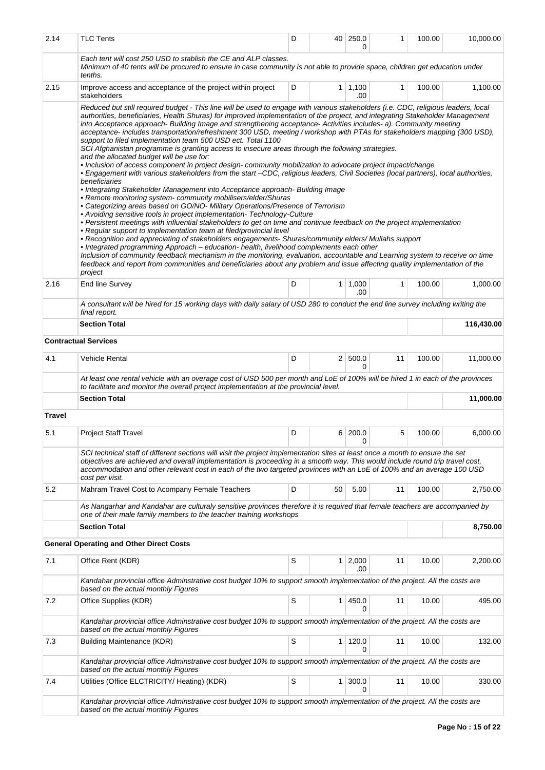| 2.14   | <b>TLC Tents</b>                                                                                                                                                                                                                                                                                                                                                                                                                                                                                                                                                                                                                                                                                                                                                                                                                                                                                                                                                                                                                                                                                                                                                                                                                                                                                                                                                                                                                                                                                                                                                                                                                                                                                                                                                                                                                                                                                                                                                                                         | D |                | 40 250.0<br>0         | 1  | 100.00 | 10,000.00  |
|--------|----------------------------------------------------------------------------------------------------------------------------------------------------------------------------------------------------------------------------------------------------------------------------------------------------------------------------------------------------------------------------------------------------------------------------------------------------------------------------------------------------------------------------------------------------------------------------------------------------------------------------------------------------------------------------------------------------------------------------------------------------------------------------------------------------------------------------------------------------------------------------------------------------------------------------------------------------------------------------------------------------------------------------------------------------------------------------------------------------------------------------------------------------------------------------------------------------------------------------------------------------------------------------------------------------------------------------------------------------------------------------------------------------------------------------------------------------------------------------------------------------------------------------------------------------------------------------------------------------------------------------------------------------------------------------------------------------------------------------------------------------------------------------------------------------------------------------------------------------------------------------------------------------------------------------------------------------------------------------------------------------------|---|----------------|-----------------------|----|--------|------------|
|        | Each tent will cost 250 USD to stablish the CE and ALP classes.<br>Minimum of 40 tents will be procured to ensure in case community is not able to provide space, children get education under<br>tenths.                                                                                                                                                                                                                                                                                                                                                                                                                                                                                                                                                                                                                                                                                                                                                                                                                                                                                                                                                                                                                                                                                                                                                                                                                                                                                                                                                                                                                                                                                                                                                                                                                                                                                                                                                                                                |   |                |                       |    |        |            |
| 2.15   | Improve access and acceptance of the project within project<br>stakeholders                                                                                                                                                                                                                                                                                                                                                                                                                                                                                                                                                                                                                                                                                                                                                                                                                                                                                                                                                                                                                                                                                                                                                                                                                                                                                                                                                                                                                                                                                                                                                                                                                                                                                                                                                                                                                                                                                                                              | D |                | $1 \mid 1,100$<br>.00 | 1  | 100.00 | 1,100.00   |
|        | Reduced but still required budget - This line will be used to engage with various stakeholders (i.e. CDC, religious leaders, local<br>authorities, beneficiaries, Health Shuras) for improved implementation of the project, and integrating Stakeholder Management<br>into Acceptance approach- Building Image and strengthening acceptance- Activities includes- a). Community meeting<br>acceptance- includes transportation/refreshment 300 USD, meeting / workshop with PTAs for stakeholders mapping (300 USD),<br>support to filed implementation team 500 USD ect. Total 1100<br>SCI Afghanistan programme is granting access to insecure areas through the following strategies.<br>and the allocated budget will be use for:<br>· Inclusion of access component in project design- community mobilization to advocate project impact/change<br>• Engagement with various stakeholders from the start -CDC, religious leaders, Civil Societies (local partners), local authorities,<br>beneficiaries<br>• Integrating Stakeholder Management into Acceptance approach- Building Image<br>• Remote monitoring system-community mobilisers/elder/Shuras<br>• Categorizing areas based on GO/NO- Military Operations/Presence of Terrorism<br>• Avoiding sensitive tools in project implementation- Technology-Culture<br>• Persistent meetings with influential stakeholders to get on time and continue feedback on the project implementation<br>• Regular support to implementation team at filed/provincial level<br>• Recognition and appreciating of stakeholders engagements- Shuras/community elders/ Mullahs support<br>• Integrated programming Approach - education- health, livelihood complements each other<br>Inclusion of community feedback mechanism in the monitoring, evaluation, accountable and Learning system to receive on time<br>feedback and report from communities and beneficiaries about any problem and issue affecting quality implementation of the<br>project |   |                |                       |    |        |            |
| 2.16   | End line Survey                                                                                                                                                                                                                                                                                                                                                                                                                                                                                                                                                                                                                                                                                                                                                                                                                                                                                                                                                                                                                                                                                                                                                                                                                                                                                                                                                                                                                                                                                                                                                                                                                                                                                                                                                                                                                                                                                                                                                                                          | D |                | 1   1,000<br>.00      | 1  | 100.00 | 1,000.00   |
|        | A consultant will be hired for 15 working days with daily salary of USD 280 to conduct the end line survey including writing the<br>final report.                                                                                                                                                                                                                                                                                                                                                                                                                                                                                                                                                                                                                                                                                                                                                                                                                                                                                                                                                                                                                                                                                                                                                                                                                                                                                                                                                                                                                                                                                                                                                                                                                                                                                                                                                                                                                                                        |   |                |                       |    |        |            |
|        | <b>Section Total</b>                                                                                                                                                                                                                                                                                                                                                                                                                                                                                                                                                                                                                                                                                                                                                                                                                                                                                                                                                                                                                                                                                                                                                                                                                                                                                                                                                                                                                                                                                                                                                                                                                                                                                                                                                                                                                                                                                                                                                                                     |   |                |                       |    |        | 116,430.00 |
|        | <b>Contractual Services</b>                                                                                                                                                                                                                                                                                                                                                                                                                                                                                                                                                                                                                                                                                                                                                                                                                                                                                                                                                                                                                                                                                                                                                                                                                                                                                                                                                                                                                                                                                                                                                                                                                                                                                                                                                                                                                                                                                                                                                                              |   |                |                       |    |        |            |
| 4.1    | <b>Vehicle Rental</b>                                                                                                                                                                                                                                                                                                                                                                                                                                                                                                                                                                                                                                                                                                                                                                                                                                                                                                                                                                                                                                                                                                                                                                                                                                                                                                                                                                                                                                                                                                                                                                                                                                                                                                                                                                                                                                                                                                                                                                                    | D |                | 2   500.0<br>0        | 11 | 100.00 | 11,000.00  |
|        | At least one rental vehicle with an overage cost of USD 500 per month and LoE of 100% will be hired 1 in each of the provinces<br>to facilitate and monitor the overall project implementation at the provincial level.                                                                                                                                                                                                                                                                                                                                                                                                                                                                                                                                                                                                                                                                                                                                                                                                                                                                                                                                                                                                                                                                                                                                                                                                                                                                                                                                                                                                                                                                                                                                                                                                                                                                                                                                                                                  |   |                |                       |    |        |            |
|        | <b>Section Total</b>                                                                                                                                                                                                                                                                                                                                                                                                                                                                                                                                                                                                                                                                                                                                                                                                                                                                                                                                                                                                                                                                                                                                                                                                                                                                                                                                                                                                                                                                                                                                                                                                                                                                                                                                                                                                                                                                                                                                                                                     |   |                |                       |    |        | 11,000.00  |
| Travel |                                                                                                                                                                                                                                                                                                                                                                                                                                                                                                                                                                                                                                                                                                                                                                                                                                                                                                                                                                                                                                                                                                                                                                                                                                                                                                                                                                                                                                                                                                                                                                                                                                                                                                                                                                                                                                                                                                                                                                                                          |   |                |                       |    |        |            |
| 5.1    | <b>Project Staff Travel</b>                                                                                                                                                                                                                                                                                                                                                                                                                                                                                                                                                                                                                                                                                                                                                                                                                                                                                                                                                                                                                                                                                                                                                                                                                                                                                                                                                                                                                                                                                                                                                                                                                                                                                                                                                                                                                                                                                                                                                                              | D |                | 6 200.0<br>0          | 5  | 100.00 | 6,000.00   |
|        | SCI technical staff of different sections will visit the project implementation sites at least once a month to ensure the set<br>objectives are achieved and overall implementation is proceeding in a smooth way. This would include round trip travel cost,<br>accommodation and other relevant cost in each of the two targeted provinces with an LoE of 100% and an average 100 USD<br>cost per visit.                                                                                                                                                                                                                                                                                                                                                                                                                                                                                                                                                                                                                                                                                                                                                                                                                                                                                                                                                                                                                                                                                                                                                                                                                                                                                                                                                                                                                                                                                                                                                                                               |   |                |                       |    |        |            |
| 5.2    | Mahram Travel Cost to Acompany Female Teachers                                                                                                                                                                                                                                                                                                                                                                                                                                                                                                                                                                                                                                                                                                                                                                                                                                                                                                                                                                                                                                                                                                                                                                                                                                                                                                                                                                                                                                                                                                                                                                                                                                                                                                                                                                                                                                                                                                                                                           | D | 50             | 5.00                  | 11 | 100.00 | 2,750.00   |
|        | As Nangarhar and Kandahar are culturaly sensitive provinces therefore it is required that female teachers are accompanied by<br>one of their male family members to the teacher training workshops                                                                                                                                                                                                                                                                                                                                                                                                                                                                                                                                                                                                                                                                                                                                                                                                                                                                                                                                                                                                                                                                                                                                                                                                                                                                                                                                                                                                                                                                                                                                                                                                                                                                                                                                                                                                       |   |                |                       |    |        |            |
|        | <b>Section Total</b>                                                                                                                                                                                                                                                                                                                                                                                                                                                                                                                                                                                                                                                                                                                                                                                                                                                                                                                                                                                                                                                                                                                                                                                                                                                                                                                                                                                                                                                                                                                                                                                                                                                                                                                                                                                                                                                                                                                                                                                     |   |                |                       |    |        | 8,750.00   |
|        | <b>General Operating and Other Direct Costs</b>                                                                                                                                                                                                                                                                                                                                                                                                                                                                                                                                                                                                                                                                                                                                                                                                                                                                                                                                                                                                                                                                                                                                                                                                                                                                                                                                                                                                                                                                                                                                                                                                                                                                                                                                                                                                                                                                                                                                                          |   |                |                       |    |        |            |
| 7.1    | Office Rent (KDR)                                                                                                                                                                                                                                                                                                                                                                                                                                                                                                                                                                                                                                                                                                                                                                                                                                                                                                                                                                                                                                                                                                                                                                                                                                                                                                                                                                                                                                                                                                                                                                                                                                                                                                                                                                                                                                                                                                                                                                                        | S | 1 <sup>1</sup> | 2,000<br>.00          | 11 | 10.00  | 2,200.00   |
|        | Kandahar provincial office Adminstrative cost budget 10% to support smooth implementation of the project. All the costs are<br>based on the actual monthly Figures                                                                                                                                                                                                                                                                                                                                                                                                                                                                                                                                                                                                                                                                                                                                                                                                                                                                                                                                                                                                                                                                                                                                                                                                                                                                                                                                                                                                                                                                                                                                                                                                                                                                                                                                                                                                                                       |   |                |                       |    |        |            |
| 7.2    | Office Supplies (KDR)                                                                                                                                                                                                                                                                                                                                                                                                                                                                                                                                                                                                                                                                                                                                                                                                                                                                                                                                                                                                                                                                                                                                                                                                                                                                                                                                                                                                                                                                                                                                                                                                                                                                                                                                                                                                                                                                                                                                                                                    | S | 1              | 450.0<br>0            | 11 | 10.00  | 495.00     |
|        | Kandahar provincial office Adminstrative cost budget 10% to support smooth implementation of the project. All the costs are<br>based on the actual monthly Figures                                                                                                                                                                                                                                                                                                                                                                                                                                                                                                                                                                                                                                                                                                                                                                                                                                                                                                                                                                                                                                                                                                                                                                                                                                                                                                                                                                                                                                                                                                                                                                                                                                                                                                                                                                                                                                       |   |                |                       |    |        |            |
| 7.3    | Building Maintenance (KDR)                                                                                                                                                                                                                                                                                                                                                                                                                                                                                                                                                                                                                                                                                                                                                                                                                                                                                                                                                                                                                                                                                                                                                                                                                                                                                                                                                                                                                                                                                                                                                                                                                                                                                                                                                                                                                                                                                                                                                                               | S | 1              | 120.0<br>$\Omega$     | 11 | 10.00  | 132.00     |
|        | Kandahar provincial office Adminstrative cost budget 10% to support smooth implementation of the project. All the costs are<br>based on the actual monthly Figures                                                                                                                                                                                                                                                                                                                                                                                                                                                                                                                                                                                                                                                                                                                                                                                                                                                                                                                                                                                                                                                                                                                                                                                                                                                                                                                                                                                                                                                                                                                                                                                                                                                                                                                                                                                                                                       |   |                |                       |    |        |            |
| 7.4    | Utilities (Office ELCTRICITY/ Heating) (KDR)                                                                                                                                                                                                                                                                                                                                                                                                                                                                                                                                                                                                                                                                                                                                                                                                                                                                                                                                                                                                                                                                                                                                                                                                                                                                                                                                                                                                                                                                                                                                                                                                                                                                                                                                                                                                                                                                                                                                                             | S | 1              | 300.0<br>0            | 11 | 10.00  | 330.00     |
|        | Kandahar provincial office Adminstrative cost budget 10% to support smooth implementation of the project. All the costs are<br>based on the actual monthly Figures                                                                                                                                                                                                                                                                                                                                                                                                                                                                                                                                                                                                                                                                                                                                                                                                                                                                                                                                                                                                                                                                                                                                                                                                                                                                                                                                                                                                                                                                                                                                                                                                                                                                                                                                                                                                                                       |   |                |                       |    |        |            |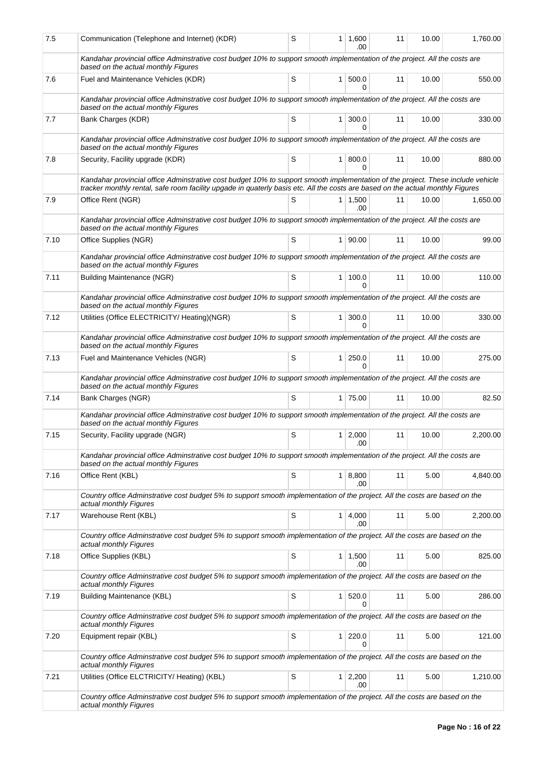| 7.5  | Communication (Telephone and Internet) (KDR)                                                                                                                                                                                                                      | S |                | $1 \mid 1,600$<br>.00 | 11 | 10.00 | 1,760.00 |  |
|------|-------------------------------------------------------------------------------------------------------------------------------------------------------------------------------------------------------------------------------------------------------------------|---|----------------|-----------------------|----|-------|----------|--|
|      | Kandahar provincial office Adminstrative cost budget 10% to support smooth implementation of the project. All the costs are<br>based on the actual monthly Figures                                                                                                |   |                |                       |    |       |          |  |
| 7.6  | Fuel and Maintenance Vehicles (KDR)                                                                                                                                                                                                                               | S | 1 <sup>1</sup> | 500.0<br>$\Omega$     | 11 | 10.00 | 550.00   |  |
|      | Kandahar provincial office Adminstrative cost budget 10% to support smooth implementation of the project. All the costs are<br>based on the actual monthly Figures                                                                                                |   |                |                       |    |       |          |  |
| 7.7  | Bank Charges (KDR)                                                                                                                                                                                                                                                | S | 1 <sup>1</sup> | 300.0<br>U            | 11 | 10.00 | 330.00   |  |
|      | Kandahar provincial office Adminstrative cost budget 10% to support smooth implementation of the project. All the costs are<br>based on the actual monthly Figures                                                                                                |   |                |                       |    |       |          |  |
| 7.8  | Security, Facility upgrade (KDR)                                                                                                                                                                                                                                  | S | 1 <sup>1</sup> | 800.0<br>0            | 11 | 10.00 | 880.00   |  |
|      | Kandahar provincial office Adminstrative cost budget 10% to support smooth implementation of the project. These include vehicle<br>tracker monthly rental, safe room facility upgade in quaterly basis etc. All the costs are based on the actual monthly Figures |   |                |                       |    |       |          |  |
| 7.9  | Office Rent (NGR)                                                                                                                                                                                                                                                 | S | 1 <sup>1</sup> | 1,500<br>.00          | 11 | 10.00 | 1,650.00 |  |
|      | Kandahar provincial office Adminstrative cost budget 10% to support smooth implementation of the project. All the costs are                                                                                                                                       |   |                |                       |    |       |          |  |
| 7.10 | based on the actual monthly Figures<br>Office Supplies (NGR)                                                                                                                                                                                                      | S |                | 1 90.00               | 11 | 10.00 | 99.00    |  |
|      | Kandahar provincial office Adminstrative cost budget 10% to support smooth implementation of the project. All the costs are<br>based on the actual monthly Figures                                                                                                |   |                |                       |    |       |          |  |
| 7.11 | Building Maintenance (NGR)                                                                                                                                                                                                                                        | S | 1 <sup>1</sup> | 100.0<br>$\Omega$     | 11 | 10.00 | 110.00   |  |
|      | Kandahar provincial office Adminstrative cost budget 10% to support smooth implementation of the project. All the costs are<br>based on the actual monthly Figures                                                                                                |   |                |                       |    |       |          |  |
| 7.12 | Utilities (Office ELECTRICITY/ Heating)(NGR)                                                                                                                                                                                                                      | S | 1 <sup>1</sup> | 300.0<br>$\Omega$     | 11 | 10.00 | 330.00   |  |
|      | Kandahar provincial office Adminstrative cost budget 10% to support smooth implementation of the project. All the costs are<br>based on the actual monthly Figures                                                                                                |   |                |                       |    |       |          |  |
| 7.13 | Fuel and Maintenance Vehicles (NGR)                                                                                                                                                                                                                               | S | 1 <sup>1</sup> | 250.0<br>$\Omega$     | 11 | 10.00 | 275.00   |  |
|      | Kandahar provincial office Adminstrative cost budget 10% to support smooth implementation of the project. All the costs are<br>based on the actual monthly Figures                                                                                                |   |                |                       |    |       |          |  |
| 7.14 | Bank Charges (NGR)                                                                                                                                                                                                                                                | S |                | 1 75.00               | 11 | 10.00 | 82.50    |  |
|      | Kandahar provincial office Adminstrative cost budget 10% to support smooth implementation of the project. All the costs are                                                                                                                                       |   |                |                       |    |       |          |  |
| 7.15 | based on the actual monthly Figures<br>Security, Facility upgrade (NGR)                                                                                                                                                                                           | S |                | $1 \mid 2,000$        | 11 | 10.00 | 2,200.00 |  |
|      | Kandahar provincial office Adminstrative cost budget 10% to support smooth implementation of the project. All the costs are                                                                                                                                       |   |                | .00                   |    |       |          |  |
| 7.16 | based on the actual monthly Figures<br>Office Rent (KBL)                                                                                                                                                                                                          | S |                | $1 \, 8,800$          | 11 | 5.00  | 4,840.00 |  |
|      | Country office Adminstrative cost budget 5% to support smooth implementation of the project. All the costs are based on the                                                                                                                                       |   |                | .00                   |    |       |          |  |
|      | actual monthly Figures                                                                                                                                                                                                                                            |   |                |                       |    |       |          |  |
| 7.17 | Warehouse Rent (KBL)                                                                                                                                                                                                                                              | S |                | $1 \, 4,000$<br>.00   | 11 | 5.00  | 2,200.00 |  |
|      | Country office Adminstrative cost budget 5% to support smooth implementation of the project. All the costs are based on the<br>actual monthly Figures                                                                                                             |   |                |                       |    |       |          |  |
| 7.18 | Office Supplies (KBL)                                                                                                                                                                                                                                             | S |                | $1 \mid 1,500$<br>.00 | 11 | 5.00  | 825.00   |  |
|      | Country office Adminstrative cost budget 5% to support smooth implementation of the project. All the costs are based on the<br>actual monthly Figures                                                                                                             |   |                |                       |    |       |          |  |
| 7.19 | Building Maintenance (KBL)                                                                                                                                                                                                                                        | S | $\mathbf{1}$   | 520.0                 | 11 | 5.00  | 286.00   |  |
|      | Country office Adminstrative cost budget 5% to support smooth implementation of the project. All the costs are based on the<br>actual monthly Figures                                                                                                             |   |                |                       |    |       |          |  |
| 7.20 | Equipment repair (KBL)                                                                                                                                                                                                                                            | S | 1 <sup>1</sup> | 220.0<br>0            | 11 | 5.00  | 121.00   |  |
|      | Country office Adminstrative cost budget 5% to support smooth implementation of the project. All the costs are based on the                                                                                                                                       |   |                |                       |    |       |          |  |
| 7.21 | actual monthly Figures<br>Utilities (Office ELCTRICITY/ Heating) (KBL)                                                                                                                                                                                            | S |                | $1 \overline{)2,200}$ | 11 | 5.00  | 1,210.00 |  |
|      | Country office Adminstrative cost budget 5% to support smooth implementation of the project. All the costs are based on the<br>actual monthly Figures                                                                                                             |   |                | .00                   |    |       |          |  |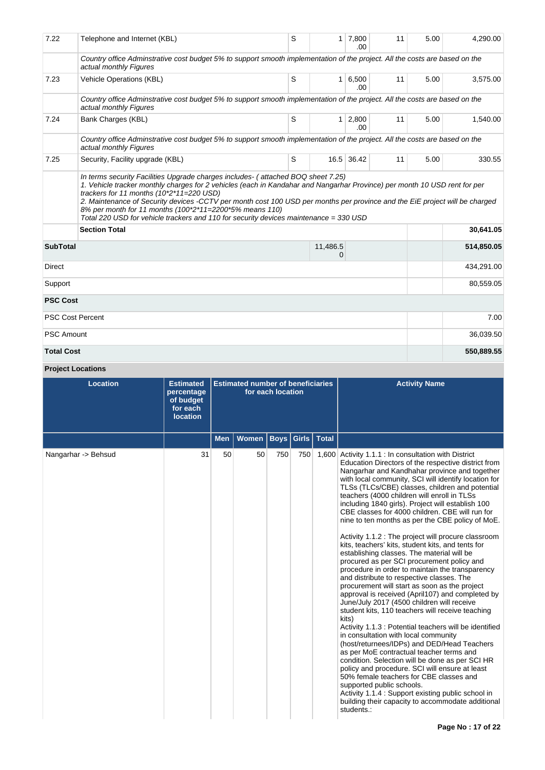| 7.22                    | Telephone and Internet (KBL)                                                                                                                                                                                                                                                                                                                                                                                                                             | S | $\mathbf{1}$  | 7,800<br>.00  | 11 | 5.00 | 4,290.00   |
|-------------------------|----------------------------------------------------------------------------------------------------------------------------------------------------------------------------------------------------------------------------------------------------------------------------------------------------------------------------------------------------------------------------------------------------------------------------------------------------------|---|---------------|---------------|----|------|------------|
|                         | Country office Adminstrative cost budget 5% to support smooth implementation of the project. All the costs are based on the<br>actual monthly Figures                                                                                                                                                                                                                                                                                                    |   |               |               |    |      |            |
| 7.23                    | <b>Vehicle Operations (KBL)</b>                                                                                                                                                                                                                                                                                                                                                                                                                          | S | $\mathbf{1}$  | 6,500<br>.00  | 11 | 5.00 | 3,575.00   |
|                         | Country office Adminstrative cost budget 5% to support smooth implementation of the project. All the costs are based on the<br>actual monthly Figures                                                                                                                                                                                                                                                                                                    |   |               |               |    |      |            |
| 7.24                    | Bank Charges (KBL)                                                                                                                                                                                                                                                                                                                                                                                                                                       | S | 1             | 2,800<br>.00. | 11 | 5.00 | 1,540.00   |
|                         | Country office Adminstrative cost budget 5% to support smooth implementation of the project. All the costs are based on the<br>actual monthly Figures                                                                                                                                                                                                                                                                                                    |   |               |               |    |      |            |
| 7.25                    | Security, Facility upgrade (KBL)                                                                                                                                                                                                                                                                                                                                                                                                                         | S |               | 16.5 36.42    | 11 | 5.00 | 330.55     |
|                         | 1. Vehicle tracker monthly charges for 2 vehicles (each in Kandahar and Nangarhar Province) per month 10 USD rent for per<br>trackers for 11 months (10*2*11=220 USD)<br>2. Maintenance of Security devices -CCTV per month cost 100 USD per months per province and the EiE project will be charged<br>8% per month for 11 months (100*2*11=2200*5% means 110)<br>Total 220 USD for vehicle trackers and 110 for security devices maintenance = 330 USD |   |               |               |    |      |            |
|                         | <b>Section Total</b>                                                                                                                                                                                                                                                                                                                                                                                                                                     |   |               |               |    |      | 30,641.05  |
| <b>SubTotal</b>         |                                                                                                                                                                                                                                                                                                                                                                                                                                                          |   | 11,486.5<br>0 |               |    |      | 514,850.05 |
| <b>Direct</b>           |                                                                                                                                                                                                                                                                                                                                                                                                                                                          |   |               |               |    |      | 434,291.00 |
| Support                 |                                                                                                                                                                                                                                                                                                                                                                                                                                                          |   |               |               |    |      | 80,559.05  |
| <b>PSC Cost</b>         |                                                                                                                                                                                                                                                                                                                                                                                                                                                          |   |               |               |    |      |            |
| <b>PSC Cost Percent</b> |                                                                                                                                                                                                                                                                                                                                                                                                                                                          |   |               |               |    |      | 7.00       |
| <b>PSC Amount</b>       |                                                                                                                                                                                                                                                                                                                                                                                                                                                          |   |               |               |    |      | 36,039.50  |
| <b>Total Cost</b>       |                                                                                                                                                                                                                                                                                                                                                                                                                                                          |   |               |               |    |      | 550,889.55 |

# **Project Locations**

| <b>Location</b>     | <b>Estimated</b><br>percentage<br>of budget<br>for each<br><b>location</b> |            | <b>Estimated number of beneficiaries</b> | for each location |       |              | <b>Activity Name</b>                                                                                                                                                                                                                                                                                                                                                                                                                                                                                                                                                                                                                                                                                                                                                                                                                                                                                                                                                                                                                                                                                                                                                                                                                                                                                                                                                                                                                                                                                    |
|---------------------|----------------------------------------------------------------------------|------------|------------------------------------------|-------------------|-------|--------------|---------------------------------------------------------------------------------------------------------------------------------------------------------------------------------------------------------------------------------------------------------------------------------------------------------------------------------------------------------------------------------------------------------------------------------------------------------------------------------------------------------------------------------------------------------------------------------------------------------------------------------------------------------------------------------------------------------------------------------------------------------------------------------------------------------------------------------------------------------------------------------------------------------------------------------------------------------------------------------------------------------------------------------------------------------------------------------------------------------------------------------------------------------------------------------------------------------------------------------------------------------------------------------------------------------------------------------------------------------------------------------------------------------------------------------------------------------------------------------------------------------|
|                     |                                                                            | <b>Men</b> | Women                                    | <b>Boys</b>       | Girls | <b>Total</b> |                                                                                                                                                                                                                                                                                                                                                                                                                                                                                                                                                                                                                                                                                                                                                                                                                                                                                                                                                                                                                                                                                                                                                                                                                                                                                                                                                                                                                                                                                                         |
| Nangarhar -> Behsud | 31                                                                         | 50         | 50                                       | 750               | 750   | 1,600        | Activity 1.1.1 : In consultation with District<br>Education Directors of the respective district from<br>Nangarhar and Kandhahar province and together<br>with local community, SCI will identify location for<br>TLSs (TLCs/CBE) classes, children and potential<br>teachers (4000 children will enroll in TLSs<br>including 1840 girls). Project will establish 100<br>CBE classes for 4000 children. CBE will run for<br>nine to ten months as per the CBE policy of MoE.<br>Activity 1.1.2 : The project will procure classroom<br>kits, teachers' kits, student kits, and tents for<br>establishing classes. The material will be<br>procured as per SCI procurement policy and<br>procedure in order to maintain the transparency<br>and distribute to respective classes. The<br>procurement will start as soon as the project<br>approval is received (April107) and completed by<br>June/July 2017 (4500 children will receive<br>student kits, 110 teachers will receive teaching<br>kits)<br>Activity 1.1.3 : Potential teachers will be identified<br>in consultation with local community<br>(host/returnees/IDPs) and DED/Head Teachers<br>as per MoE contractual teacher terms and<br>condition. Selection will be done as per SCI HR<br>policy and procedure. SCI will ensure at least<br>50% female teachers for CBE classes and<br>supported public schools.<br>Activity 1.1.4 : Support existing public school in<br>building their capacity to accommodate additional<br>students.: |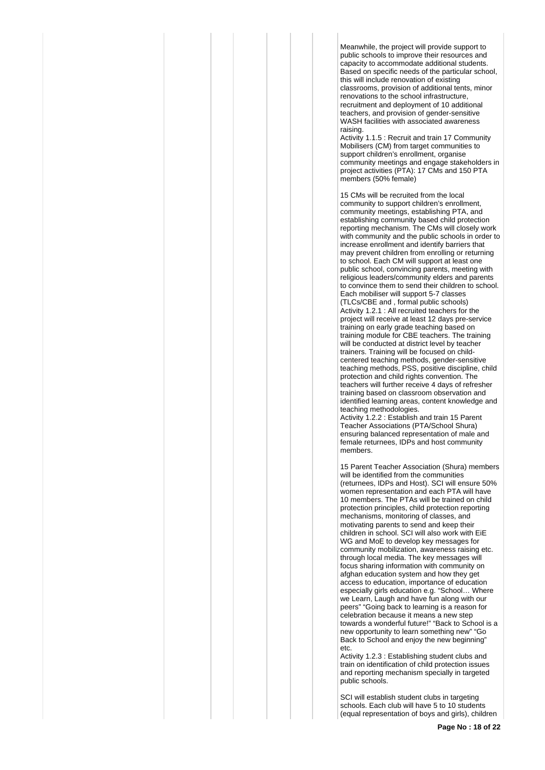Meanwhile, the project will provide support to public schools to improve their resources and capacity to accommodate additional students. Based on specific needs of the particular school, this will include renovation of existing classrooms, provision of additional tents, minor renovations to the school infrastructure, recruitment and deployment of 10 additional teachers, and provision of gender-sensitive WASH facilities with associated awareness raising.

Activity 1.1.5 : Recruit and train 17 Community Mobilisers (CM) from target communities to support children's enrollment, organise community meetings and engage stakeholders in project activities (PTA): 17 CMs and 150 PTA members (50% female)

15 CMs will be recruited from the local community to support children's enrollment, community meetings, establishing PTA, and establishing community based child protection reporting mechanism. The CMs will closely work with community and the public schools in order to increase enrollment and identify barriers that may prevent children from enrolling or returning to school. Each CM will support at least one public school, convincing parents, meeting with religious leaders/community elders and parents to convince them to send their children to school. Each mobiliser will support 5-7 classes (TLCs/CBE and , formal public schools) Activity 1.2.1 : All recruited teachers for the project will receive at least 12 days pre-service training on early grade teaching based on training module for CBE teachers. The training will be conducted at district level by teacher trainers. Training will be focused on childcentered teaching methods, gender-sensitive teaching methods, PSS, positive discipline, child protection and child rights convention. The teachers will further receive 4 days of refresher training based on classroom observation and identified learning areas, content knowledge and teaching methodologies.

Activity 1.2.2 : Establish and train 15 Parent Teacher Associations (PTA/School Shura) ensuring balanced representation of male and female returnees, IDPs and host community members.

15 Parent Teacher Association (Shura) members will be identified from the communities (returnees, IDPs and Host). SCI will ensure 50% women representation and each PTA will have 10 members. The PTAs will be trained on child protection principles, child protection reporting mechanisms, monitoring of classes, and motivating parents to send and keep their children in school. SCI will also work with EiE WG and MoE to develop key messages for community mobilization, awareness raising etc. through local media. The key messages will focus sharing information with community on afghan education system and how they get access to education, importance of education especially girls education e.g. "School… Where we Learn, Laugh and have fun along with our peers" "Going back to learning is a reason for celebration because it means a new step towards a wonderful future!" "Back to School is a new opportunity to learn something new" "Go Back to School and enjoy the new beginning" etc.

Activity 1.2.3 : Establishing student clubs and train on identification of child protection issues and reporting mechanism specially in targeted public schools.

SCI will establish student clubs in targeting schools. Each club will have 5 to 10 students (equal representation of boys and girls), children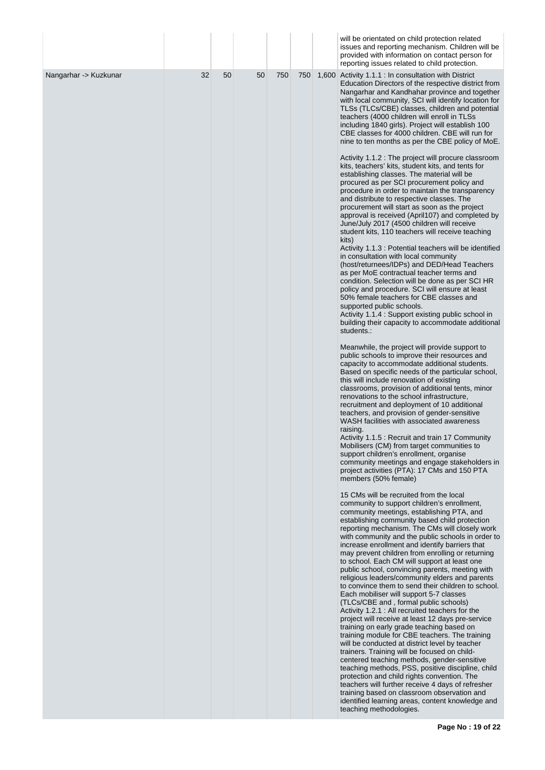|                       |    |    |    |     |     | will be orientated on child protection related<br>issues and reporting mechanism. Children will be<br>provided with information on contact person for<br>reporting issues related to child protection.                                                                                                                                                                                                                                                                                                                                                                                                                                                                                                                                                                                                                                                                                                                                                                                                                                                                                                                                                                                                                                                                                                                                                                                                                                                                     |
|-----------------------|----|----|----|-----|-----|----------------------------------------------------------------------------------------------------------------------------------------------------------------------------------------------------------------------------------------------------------------------------------------------------------------------------------------------------------------------------------------------------------------------------------------------------------------------------------------------------------------------------------------------------------------------------------------------------------------------------------------------------------------------------------------------------------------------------------------------------------------------------------------------------------------------------------------------------------------------------------------------------------------------------------------------------------------------------------------------------------------------------------------------------------------------------------------------------------------------------------------------------------------------------------------------------------------------------------------------------------------------------------------------------------------------------------------------------------------------------------------------------------------------------------------------------------------------------|
| Nangarhar -> Kuzkunar | 32 | 50 | 50 | 750 | 750 | 1,600 Activity 1.1.1 : In consultation with District<br>Education Directors of the respective district from<br>Nangarhar and Kandhahar province and together<br>with local community, SCI will identify location for<br>TLSs (TLCs/CBE) classes, children and potential<br>teachers (4000 children will enroll in TLSs<br>including 1840 girls). Project will establish 100<br>CBE classes for 4000 children. CBE will run for<br>nine to ten months as per the CBE policy of MoE.                                                                                                                                                                                                                                                                                                                                                                                                                                                                                                                                                                                                                                                                                                                                                                                                                                                                                                                                                                                         |
|                       |    |    |    |     |     | Activity 1.1.2 : The project will procure classroom<br>kits, teachers' kits, student kits, and tents for<br>establishing classes. The material will be<br>procured as per SCI procurement policy and<br>procedure in order to maintain the transparency<br>and distribute to respective classes. The<br>procurement will start as soon as the project<br>approval is received (April107) and completed by<br>June/July 2017 (4500 children will receive<br>student kits, 110 teachers will receive teaching<br>kits)<br>Activity 1.1.3 : Potential teachers will be identified<br>in consultation with local community<br>(host/returnees/IDPs) and DED/Head Teachers<br>as per MoE contractual teacher terms and<br>condition. Selection will be done as per SCI HR<br>policy and procedure. SCI will ensure at least<br>50% female teachers for CBE classes and<br>supported public schools.<br>Activity 1.1.4 : Support existing public school in<br>building their capacity to accommodate additional<br>students.:<br>Meanwhile, the project will provide support to<br>public schools to improve their resources and<br>capacity to accommodate additional students.<br>Based on specific needs of the particular school,<br>this will include renovation of existing<br>classrooms, provision of additional tents, minor<br>renovations to the school infrastructure,<br>recruitment and deployment of 10 additional<br>teachers, and provision of gender-sensitive |
|                       |    |    |    |     |     | WASH facilities with associated awareness<br>raising.<br>Activity 1.1.5 : Recruit and train 17 Community<br>Mobilisers (CM) from target communities to<br>support children's enrollment, organise<br>community meetings and engage stakeholders in<br>project activities (PTA): 17 CMs and 150 PTA<br>members (50% female)                                                                                                                                                                                                                                                                                                                                                                                                                                                                                                                                                                                                                                                                                                                                                                                                                                                                                                                                                                                                                                                                                                                                                 |
|                       |    |    |    |     |     | 15 CMs will be recruited from the local<br>community to support children's enrollment,<br>community meetings, establishing PTA, and<br>establishing community based child protection<br>reporting mechanism. The CMs will closely work<br>with community and the public schools in order to<br>increase enrollment and identify barriers that<br>may prevent children from enrolling or returning<br>to school. Each CM will support at least one<br>public school, convincing parents, meeting with<br>religious leaders/community elders and parents<br>to convince them to send their children to school.<br>Each mobiliser will support 5-7 classes<br>(TLCs/CBE and, formal public schools)<br>Activity 1.2.1 : All recruited teachers for the<br>project will receive at least 12 days pre-service<br>training on early grade teaching based on<br>training module for CBE teachers. The training<br>will be conducted at district level by teacher<br>trainers. Training will be focused on child-<br>centered teaching methods, gender-sensitive<br>teaching methods, PSS, positive discipline, child<br>protection and child rights convention. The<br>teachers will further receive 4 days of refresher<br>training based on classroom observation and<br>identified learning areas, content knowledge and<br>teaching methodologies.                                                                                                                            |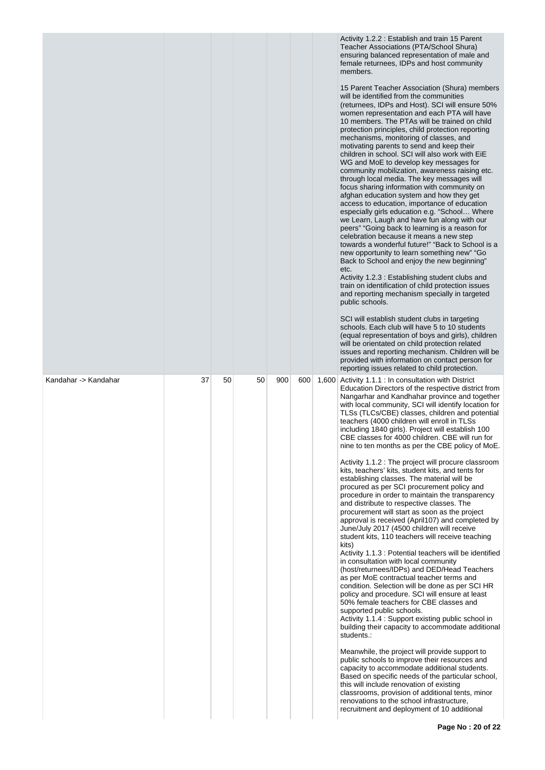|                      |    |    |    |     |     | Activity 1.2.2 : Establish and train 15 Parent<br>Teacher Associations (PTA/School Shura)<br>ensuring balanced representation of male and<br>female returnees, IDPs and host community<br>members.<br>15 Parent Teacher Association (Shura) members<br>will be identified from the communities<br>(returnees, IDPs and Host). SCI will ensure 50%<br>women representation and each PTA will have<br>10 members. The PTAs will be trained on child<br>protection principles, child protection reporting<br>mechanisms, monitoring of classes, and<br>motivating parents to send and keep their<br>children in school. SCI will also work with EiE<br>WG and MoE to develop key messages for<br>community mobilization, awareness raising etc.<br>through local media. The key messages will<br>focus sharing information with community on<br>afghan education system and how they get<br>access to education, importance of education<br>especially girls education e.g. "School Where<br>we Learn, Laugh and have fun along with our<br>peers" "Going back to learning is a reason for<br>celebration because it means a new step<br>towards a wonderful future!" "Back to School is a<br>new opportunity to learn something new" "Go<br>Back to School and enjoy the new beginning"<br>etc.<br>Activity 1.2.3 : Establishing student clubs and<br>train on identification of child protection issues<br>and reporting mechanism specially in targeted<br>public schools.<br>SCI will establish student clubs in targeting<br>schools. Each club will have 5 to 10 students<br>(equal representation of boys and girls), children<br>will be orientated on child protection related<br>issues and reporting mechanism. Children will be<br>provided with information on contact person for<br>reporting issues related to child protection.                                                                      |
|----------------------|----|----|----|-----|-----|-------------------------------------------------------------------------------------------------------------------------------------------------------------------------------------------------------------------------------------------------------------------------------------------------------------------------------------------------------------------------------------------------------------------------------------------------------------------------------------------------------------------------------------------------------------------------------------------------------------------------------------------------------------------------------------------------------------------------------------------------------------------------------------------------------------------------------------------------------------------------------------------------------------------------------------------------------------------------------------------------------------------------------------------------------------------------------------------------------------------------------------------------------------------------------------------------------------------------------------------------------------------------------------------------------------------------------------------------------------------------------------------------------------------------------------------------------------------------------------------------------------------------------------------------------------------------------------------------------------------------------------------------------------------------------------------------------------------------------------------------------------------------------------------------------------------------------------------------------------------------------------------------------------------|
| Kandahar -> Kandahar | 37 | 50 | 50 | 900 | 600 | 1,600 Activity 1.1.1 : In consultation with District<br>Education Directors of the respective district from<br>Nangarhar and Kandhahar province and together<br>with local community, SCI will identify location for<br>TLSs (TLCs/CBE) classes, children and potential<br>teachers (4000 children will enroll in TLSs<br>including 1840 girls). Project will establish 100<br>CBE classes for 4000 children. CBE will run for<br>nine to ten months as per the CBE policy of MoE.<br>Activity 1.1.2 : The project will procure classroom<br>kits, teachers' kits, student kits, and tents for<br>establishing classes. The material will be<br>procured as per SCI procurement policy and<br>procedure in order to maintain the transparency<br>and distribute to respective classes. The<br>procurement will start as soon as the project<br>approval is received (April107) and completed by<br>June/July 2017 (4500 children will receive<br>student kits, 110 teachers will receive teaching<br>kits)<br>Activity 1.1.3 : Potential teachers will be identified<br>in consultation with local community<br>(host/returnees/IDPs) and DED/Head Teachers<br>as per MoE contractual teacher terms and<br>condition. Selection will be done as per SCI HR<br>policy and procedure. SCI will ensure at least<br>50% female teachers for CBE classes and<br>supported public schools.<br>Activity 1.1.4 : Support existing public school in<br>building their capacity to accommodate additional<br>students.:<br>Meanwhile, the project will provide support to<br>public schools to improve their resources and<br>capacity to accommodate additional students.<br>Based on specific needs of the particular school,<br>this will include renovation of existing<br>classrooms, provision of additional tents, minor<br>renovations to the school infrastructure,<br>recruitment and deployment of 10 additional |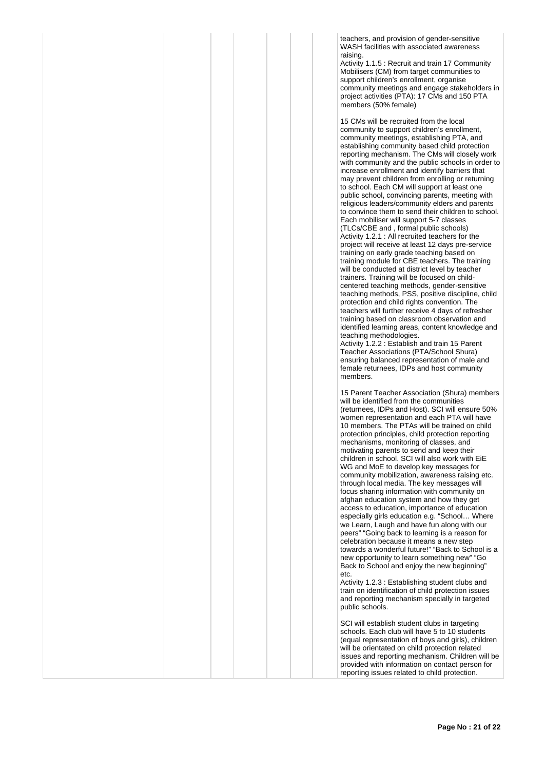teachers, and provision of gender-sensitive WASH facilities with associated awareness raising.

Activity 1.1.5 : Recruit and train 17 Community Mobilisers (CM) from target communities to support children's enrollment, organise community meetings and engage stakeholders in project activities (PTA): 17 CMs and 150 PTA members (50% female)

15 CMs will be recruited from the local community to support children's enrollment, community meetings, establishing PTA, and establishing community based child protection reporting mechanism. The CMs will closely work with community and the public schools in order to increase enrollment and identify barriers that may prevent children from enrolling or returning to school. Each CM will support at least one public school, convincing parents, meeting with religious leaders/community elders and parents to convince them to send their children to school. Each mobiliser will support 5-7 classes (TLCs/CBE and , formal public schools) Activity 1.2.1 : All recruited teachers for the project will receive at least 12 days pre-service training on early grade teaching based on training module for CBE teachers. The training will be conducted at district level by teacher trainers. Training will be focused on childcentered teaching methods, gender-sensitive teaching methods, PSS, positive discipline, child protection and child rights convention. The teachers will further receive 4 days of refresher training based on classroom observation and identified learning areas, content knowledge and teaching methodologies.

Activity 1.2.2 : Establish and train 15 Parent Teacher Associations (PTA/School Shura) ensuring balanced representation of male and female returnees, IDPs and host community members.

15 Parent Teacher Association (Shura) members will be identified from the communities (returnees, IDPs and Host). SCI will ensure 50% women representation and each PTA will have 10 members. The PTAs will be trained on child protection principles, child protection reporting mechanisms, monitoring of classes, and motivating parents to send and keep their children in school. SCI will also work with EiE WG and MoE to develop key messages for community mobilization, awareness raising etc. through local media. The key messages will focus sharing information with community on afghan education system and how they get access to education, importance of education especially girls education e.g. "School… Where we Learn, Laugh and have fun along with our peers" "Going back to learning is a reason for celebration because it means a new step towards a wonderful future!" "Back to School is a new opportunity to learn something new" "Go Back to School and enjoy the new beginning" etc.

Activity 1.2.3 : Establishing student clubs and train on identification of child protection issues and reporting mechanism specially in targeted public schools.

SCI will establish student clubs in targeting schools. Each club will have 5 to 10 students (equal representation of boys and girls), children will be orientated on child protection related issues and reporting mechanism. Children will be provided with information on contact person for reporting issues related to child protection.